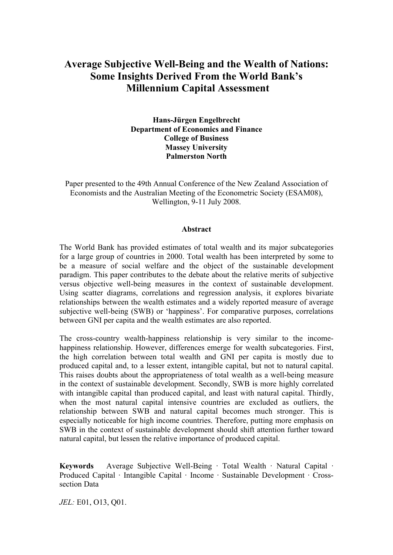# **Average Subjective Well-Being and the Wealth of Nations: Some Insights Derived From the World Bank's Millennium Capital Assessment**

**Hans-Jürgen Engelbrecht Department of Economics and Finance College of Business Massey University Palmerston North**

Paper presented to the 49th Annual Conference of the New Zealand Association of Economists and the Australian Meeting of the Econometric Society (ESAM08), Wellington, 9-11 July 2008.

#### **Abstract**

The World Bank has provided estimates of total wealth and its major subcategories for a large group of countries in 2000. Total wealth has been interpreted by some to be a measure of social welfare and the object of the sustainable development paradigm. This paper contributes to the debate about the relative merits of subjective versus objective well-being measures in the context of sustainable development. Using scatter diagrams, correlations and regression analysis, it explores bivariate relationships between the wealth estimates and a widely reported measure of average subjective well-being (SWB) or 'happiness'. For comparative purposes, correlations between GNI per capita and the wealth estimates are also reported.

The cross-country wealth-happiness relationship is very similar to the incomehappiness relationship. However, differences emerge for wealth subcategories. First, the high correlation between total wealth and GNI per capita is mostly due to produced capital and, to a lesser extent, intangible capital, but not to natural capital. This raises doubts about the appropriateness of total wealth as a well-being measure in the context of sustainable development. Secondly, SWB is more highly correlated with intangible capital than produced capital, and least with natural capital. Thirdly, when the most natural capital intensive countries are excluded as outliers, the relationship between SWB and natural capital becomes much stronger. This is especially noticeable for high income countries. Therefore, putting more emphasis on SWB in the context of sustainable development should shift attention further toward natural capital, but lessen the relative importance of produced capital.

**Keywords** Average Subjective Well-Being · Total Wealth · Natural Capital · Produced Capital · Intangible Capital · Income · Sustainable Development · Crosssection Data

*JEL:* E01, O13, Q01.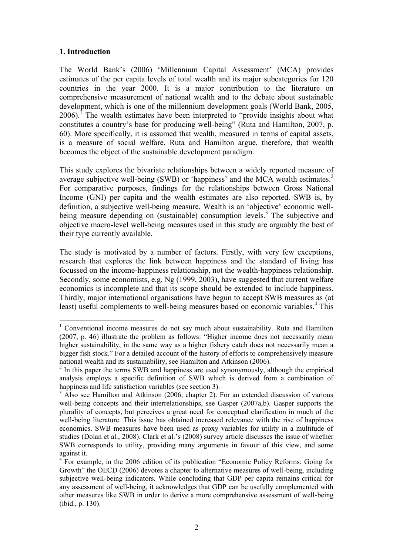#### **1. Introduction**

 $\overline{a}$ 

The World Bank's (2006) 'Millennium Capital Assessment' (MCA) provides estimates of the per capita levels of total wealth and its major subcategories for 120 countries in the year 2000. It is a major contribution to the literature on comprehensive measurement of national wealth and to the debate about sustainable development, which is one of the millennium development goals (World Bank, 2005,  $2006$ ).<sup>I</sup> The wealth estimates have been interpreted to "provide insights about what constitutes a country's base for producing well-being" (Ruta and Hamilton, 2007, p. 60). More specifically, it is assumed that wealth, measured in terms of capital assets, is a measure of social welfare. Ruta and Hamilton argue, therefore, that wealth becomes the object of the sustainable development paradigm.

This study explores the bivariate relationships between a widely reported measure of average subjective well-being (SWB) or 'happiness' and the MCA wealth estimates.<sup>2</sup> For comparative purposes, findings for the relationships between Gross National Income (GNI) per capita and the wealth estimates are also reported. SWB is, by definition, a subjective well-being measure. Wealth is an 'objective' economic wellbeing measure depending on (sustainable) consumption levels.<sup>3</sup> The subjective and objective macro-level well-being measures used in this study are arguably the best of their type currently available.

The study is motivated by a number of factors. Firstly, with very few exceptions, research that explores the link between happiness and the standard of living has focussed on the income-happiness relationship, not the wealth-happiness relationship. Secondly, some economists, e.g. Ng (1999, 2003), have suggested that current welfare economics is incomplete and that its scope should be extended to include happiness. Thirdly, major international organisations have begun to accept SWB measures as (at least) useful complements to well-being measures based on economic variables.<sup>4</sup> This

<sup>&</sup>lt;sup>1</sup> Conventional income measures do not say much about sustainability. Ruta and Hamilton (2007, p. 46) illustrate the problem as follows: "Higher income does not necessarily mean higher sustainability, in the same way as a higher fishery catch does not necessarily mean a bigger fish stock." For a detailed account of the history of efforts to comprehensively measure national wealth and its sustainability, see Hamilton and Atkinson (2006).

<sup>&</sup>lt;sup>2</sup> In this paper the terms SWB and happiness are used synonymously, although the empirical analysis employs a specific definition of SWB which is derived from a combination of happiness and life satisfaction variables (see section 3).

<sup>&</sup>lt;sup>3</sup> Also see Hamilton and Atkinson (2006, chapter 2). For an extended discussion of various well-being concepts and their interrelationships, see Gasper (2007a,b). Gasper supports the plurality of concepts, but perceives a great need for conceptual clarification in much of the well-being literature. This issue has obtained increased relevance with the rise of happiness economics. SWB measures have been used as proxy variables for utility in a multitude of studies (Dolan et al., 2008). Clark et al.'s (2008) survey article discusses the issue of whether SWB corresponds to utility, providing many arguments in favour of this view, and some against it.

<sup>&</sup>lt;sup>4</sup> For example, in the 2006 edition of its publication "Economic Policy Reforms: Going for Growth" the OECD (2006) devotes a chapter to alternative measures of well-being, including subjective well-being indicators. While concluding that GDP per capita remains critical for any assessment of well-being, it acknowledges that GDP can be usefully complemented with other measures like SWB in order to derive a more comprehensive assessment of well-being (ibid., p. 130).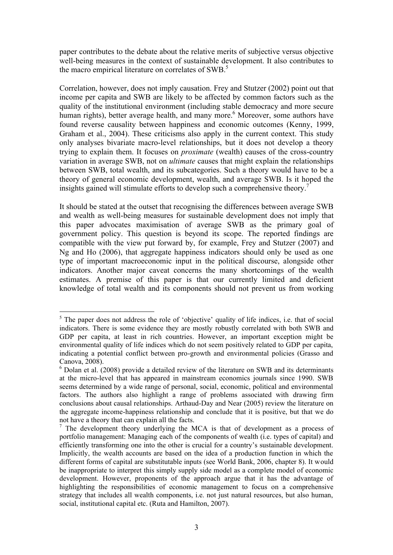paper contributes to the debate about the relative merits of subjective versus objective well-being measures in the context of sustainable development. It also contributes to the macro empirical literature on correlates of SWB.<sup>5</sup>

Correlation, however, does not imply causation. Frey and Stutzer (2002) point out that income per capita and SWB are likely to be affected by common factors such as the quality of the institutional environment (including stable democracy and more secure human rights), better average health, and many more.<sup>6</sup> Moreover, some authors have found reverse causality between happiness and economic outcomes (Kenny, 1999, Graham et al., 2004). These criticisms also apply in the current context. This study only analyses bivariate macro-level relationships, but it does not develop a theory trying to explain them. It focuses on *proximate* (wealth) causes of the cross-country variation in average SWB, not on *ultimate* causes that might explain the relationships between SWB, total wealth, and its subcategories. Such a theory would have to be a theory of general economic development, wealth, and average SWB. Is it hoped the insights gained will stimulate efforts to develop such a comprehensive theory.<sup>7</sup>

It should be stated at the outset that recognising the differences between average SWB and wealth as well-being measures for sustainable development does not imply that this paper advocates maximisation of average SWB as the primary goal of government policy. This question is beyond its scope. The reported findings are compatible with the view put forward by, for example, Frey and Stutzer (2007) and Ng and Ho (2006), that aggregate happiness indicators should only be used as one type of important macroeconomic input in the political discourse, alongside other indicators. Another major caveat concerns the many shortcomings of the wealth estimates. A premise of this paper is that our currently limited and deficient knowledge of total wealth and its components should not prevent us from working

 $<sup>5</sup>$  The paper does not address the role of 'objective' quality of life indices, i.e. that of social</sup> indicators. There is some evidence they are mostly robustly correlated with both SWB and GDP per capita, at least in rich countries. However, an important exception might be environmental quality of life indices which do not seem positively related to GDP per capita, indicating a potential conflict between pro-growth and environmental policies (Grasso and Canova, 2008).

 $6$  Dolan et al. (2008) provide a detailed review of the literature on SWB and its determinants at the micro-level that has appeared in mainstream economics journals since 1990. SWB seems determined by a wide range of personal, social, economic, political and environmental factors. The authors also highlight a range of problems associated with drawing firm conclusions about causal relationships. Arthaud-Day and Near (2005) review the literature on the aggregate income-happiness relationship and conclude that it is positive, but that we do not have a theory that can explain all the facts.

<sup>7</sup> The development theory underlying the MCA is that of development as a process of portfolio management: Managing each of the components of wealth (i.e. types of capital) and efficiently transforming one into the other is crucial for a country's sustainable development. Implicitly, the wealth accounts are based on the idea of a production function in which the different forms of capital are substitutable inputs (see World Bank, 2006, chapter 8). It would be inappropriate to interpret this simply supply side model as a complete model of economic development. However, proponents of the approach argue that it has the advantage of highlighting the responsibilities of economic management to focus on a comprehensive strategy that includes all wealth components, i.e. not just natural resources, but also human, social, institutional capital etc. (Ruta and Hamilton, 2007).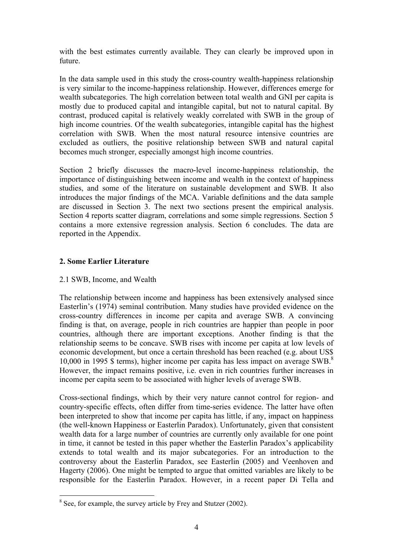with the best estimates currently available. They can clearly be improved upon in future.

In the data sample used in this study the cross-country wealth-happiness relationship is very similar to the income-happiness relationship. However, differences emerge for wealth subcategories. The high correlation between total wealth and GNI per capita is mostly due to produced capital and intangible capital, but not to natural capital. By contrast, produced capital is relatively weakly correlated with SWB in the group of high income countries. Of the wealth subcategories, intangible capital has the highest correlation with SWB. When the most natural resource intensive countries are excluded as outliers, the positive relationship between SWB and natural capital becomes much stronger, especially amongst high income countries.

Section 2 briefly discusses the macro-level income-happiness relationship, the importance of distinguishing between income and wealth in the context of happiness studies, and some of the literature on sustainable development and SWB. It also introduces the major findings of the MCA. Variable definitions and the data sample are discussed in Section 3. The next two sections present the empirical analysis. Section 4 reports scatter diagram, correlations and some simple regressions. Section 5 contains a more extensive regression analysis. Section 6 concludes. The data are reported in the Appendix.

## **2. Some Earlier Literature**

## 2.1 SWB, Income, and Wealth

The relationship between income and happiness has been extensively analysed since Easterlin's (1974) seminal contribution. Many studies have provided evidence on the cross-country differences in income per capita and average SWB. A convincing finding is that, on average, people in rich countries are happier than people in poor countries, although there are important exceptions. Another finding is that the relationship seems to be concave. SWB rises with income per capita at low levels of economic development, but once a certain threshold has been reached (e.g. about US\$ 10,000 in 1995 \$ terms), higher income per capita has less impact on average SWB.<sup>8</sup> However, the impact remains positive, i.e. even in rich countries further increases in income per capita seem to be associated with higher levels of average SWB.

Cross-sectional findings, which by their very nature cannot control for region- and country-specific effects, often differ from time-series evidence. The latter have often been interpreted to show that income per capita has little, if any, impact on happiness (the well-known Happiness or Easterlin Paradox). Unfortunately, given that consistent wealth data for a large number of countries are currently only available for one point in time, it cannot be tested in this paper whether the Easterlin Paradox's applicability extends to total wealth and its major subcategories. For an introduction to the controversy about the Easterlin Paradox, see Easterlin (2005) and Veenhoven and Hagerty (2006). One might be tempted to argue that omitted variables are likely to be responsible for the Easterlin Paradox. However, in a recent paper Di Tella and

<sup>&</sup>lt;sup>8</sup> See, for example, the survey article by Frey and Stutzer (2002).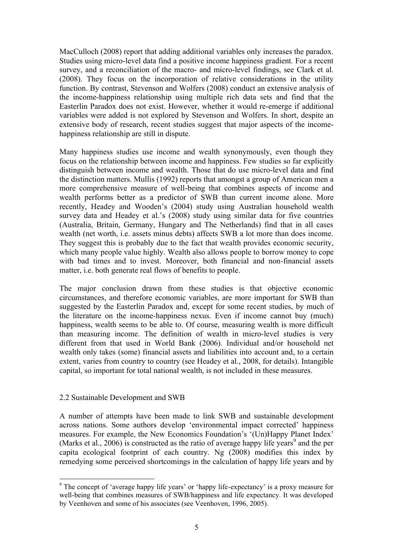MacCulloch (2008) report that adding additional variables only increases the paradox. Studies using micro-level data find a positive income happiness gradient. For a recent survey, and a reconciliation of the macro- and micro-level findings, see Clark et al. (2008). They focus on the incorporation of relative considerations in the utility function. By contrast, Stevenson and Wolfers (2008) conduct an extensive analysis of the income-happiness relationship using multiple rich data sets and find that the Easterlin Paradox does not exist. However, whether it would re-emerge if additional variables were added is not explored by Stevenson and Wolfers. In short, despite an extensive body of research, recent studies suggest that major aspects of the incomehappiness relationship are still in dispute.

Many happiness studies use income and wealth synonymously, even though they focus on the relationship between income and happiness. Few studies so far explicitly distinguish between income and wealth. Those that do use micro-level data and find the distinction matters. Mullis (1992) reports that amongst a group of American men a more comprehensive measure of well-being that combines aspects of income and wealth performs better as a predictor of SWB than current income alone. More recently, Headey and Wooden's (2004) study using Australian household wealth survey data and Headey et al.'s (2008) study using similar data for five countries (Australia, Britain, Germany, Hungary and The Netherlands) find that in all cases wealth (net worth, i.e. assets minus debts) affects SWB a lot more than does income. They suggest this is probably due to the fact that wealth provides economic security, which many people value highly. Wealth also allows people to borrow money to cope with bad times and to invest. Moreover, both financial and non-financial assets matter, i.e. both generate real flows of benefits to people.

The major conclusion drawn from these studies is that objective economic circumstances, and therefore economic variables, are more important for SWB than suggested by the Easterlin Paradox and, except for some recent studies, by much of the literature on the income-happiness nexus. Even if income cannot buy (much) happiness, wealth seems to be able to. Of course, measuring wealth is more difficult than measuring income. The definition of wealth in micro-level studies is very different from that used in World Bank (2006). Individual and/or household net wealth only takes (some) financial assets and liabilities into account and, to a certain extent, varies from country to country (see Headey et al., 2008, for details). Intangible capital, so important for total national wealth, is not included in these measures.

## 2.2 Sustainable Development and SWB

 $\overline{a}$ 

A number of attempts have been made to link SWB and sustainable development across nations. Some authors develop 'environmental impact corrected' happiness measures. For example, the New Economics Foundation's '(Un)Happy Planet Index' (Marks et al., 2006) is constructed as the ratio of average happy life years<sup>9</sup> and the per capita ecological footprint of each country. Ng (2008) modifies this index by remedying some perceived shortcomings in the calculation of happy life years and by

<sup>&</sup>lt;sup>9</sup> The concept of 'average happy life years' or 'happy life-expectancy' is a proxy measure for well-being that combines measures of SWB/happiness and life expectancy. It was developed by Veenhoven and some of his associates (see Veenhoven, 1996, 2005).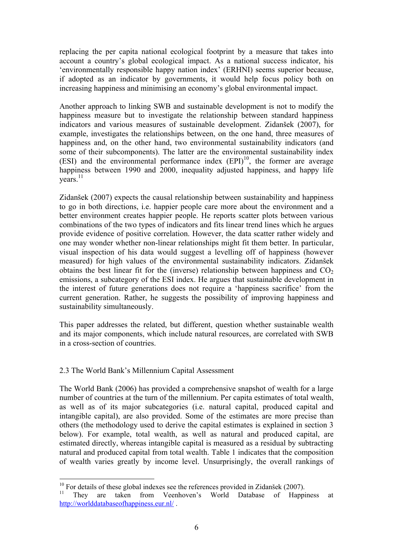replacing the per capita national ecological footprint by a measure that takes into account a country's global ecological impact. As a national success indicator, his 'environmentally responsible happy nation index' (ERHNI) seems superior because, if adopted as an indicator by governments, it would help focus policy both on increasing happiness and minimising an economy's global environmental impact.

Another approach to linking SWB and sustainable development is not to modify the happiness measure but to investigate the relationship between standard happiness indicators and various measures of sustainable development. Zidanšek (2007), for example, investigates the relationships between, on the one hand, three measures of happiness and, on the other hand, two environmental sustainability indicators (and some of their subcomponents). The latter are the environmental sustainability index (ESI) and the environmental performance index  $(EPI)^{10}$ , the former are average happiness between 1990 and 2000, inequality adjusted happiness, and happy life  $years<sup>11</sup>$ 

Zidanšek (2007) expects the causal relationship between sustainability and happiness to go in both directions, i.e. happier people care more about the environment and a better environment creates happier people. He reports scatter plots between various combinations of the two types of indicators and fits linear trend lines which he argues provide evidence of positive correlation. However, the data scatter rather widely and one may wonder whether non-linear relationships might fit them better. In particular, visual inspection of his data would suggest a levelling off of happiness (however measured) for high values of the environmental sustainability indicators. Zidanšek obtains the best linear fit for the (inverse) relationship between happiness and  $CO<sub>2</sub>$ emissions, a subcategory of the ESI index. He argues that sustainable development in the interest of future generations does not require a 'happiness sacrifice' from the current generation. Rather, he suggests the possibility of improving happiness and sustainability simultaneously.

This paper addresses the related, but different, question whether sustainable wealth and its major components, which include natural resources, are correlated with SWB in a cross-section of countries.

## 2.3 The World Bank's Millennium Capital Assessment

 $\overline{a}$ 

The World Bank (2006) has provided a comprehensive snapshot of wealth for a large number of countries at the turn of the millennium. Per capita estimates of total wealth, as well as of its major subcategories (i.e. natural capital, produced capital and intangible capital), are also provided. Some of the estimates are more precise than others (the methodology used to derive the capital estimates is explained in section 3 below). For example, total wealth, as well as natural and produced capital, are estimated directly, whereas intangible capital is measured as a residual by subtracting natural and produced capital from total wealth. Table 1 indicates that the composition of wealth varies greatly by income level. Unsurprisingly, the overall rankings of

 $10$  For details of these global indexes see the references provided in Zidanšek (2007).

<sup>&</sup>lt;sup>11</sup> They are taken from Veenhoven's World Database of Happiness at http://worlddatabaseofhappiness.eur.nl/ .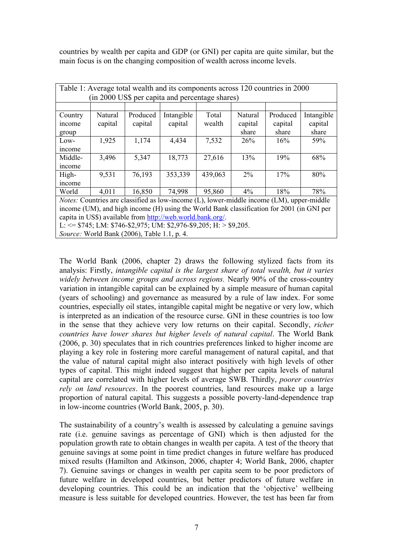countries by wealth per capita and GDP (or GNI) per capita are quite similar, but the main focus is on the changing composition of wealth across income levels.

|         | Table 1: Average total wealth and its components across 120 countries in 2000 |                                             |                                                                                                        |         |         |          |            |  |  |  |  |  |
|---------|-------------------------------------------------------------------------------|---------------------------------------------|--------------------------------------------------------------------------------------------------------|---------|---------|----------|------------|--|--|--|--|--|
|         | (in 2000 US\$ per capita and percentage shares)                               |                                             |                                                                                                        |         |         |          |            |  |  |  |  |  |
|         |                                                                               |                                             |                                                                                                        |         |         |          |            |  |  |  |  |  |
| Country | Natural                                                                       | Produced                                    | Intangible                                                                                             | Total   | Natural | Produced | Intangible |  |  |  |  |  |
| income  | capital                                                                       | capital                                     | capital                                                                                                | wealth  | capital | capital  | capital    |  |  |  |  |  |
| group   |                                                                               |                                             |                                                                                                        |         | share   | share    | share      |  |  |  |  |  |
| Low-    | 1,925                                                                         | 1,174                                       | 4,434                                                                                                  | 7,532   | 26%     | 16%      | 59%        |  |  |  |  |  |
| income  |                                                                               |                                             |                                                                                                        |         |         |          |            |  |  |  |  |  |
| Middle- | 3,496                                                                         | 5,347                                       | 18,773                                                                                                 | 27,616  | 13%     | 19%      | 68%        |  |  |  |  |  |
| income  |                                                                               |                                             |                                                                                                        |         |         |          |            |  |  |  |  |  |
| High-   | 9,531                                                                         | 76,193                                      | 353,339                                                                                                | 439,063 | $2\%$   | 17%      | 80%        |  |  |  |  |  |
| income  |                                                                               |                                             |                                                                                                        |         |         |          |            |  |  |  |  |  |
| World   | 4,011                                                                         | 16,850                                      | 74,998                                                                                                 | 95,860  | $4\%$   | 18%      | 78%        |  |  |  |  |  |
|         |                                                                               |                                             | <i>Notes:</i> Countries are classified as low-income $(L)$ , lower-middle income $(LM)$ , upper-middle |         |         |          |            |  |  |  |  |  |
|         |                                                                               |                                             | income (UM), and high income (H) using the World Bank classification for 2001 (in GNI per              |         |         |          |            |  |  |  |  |  |
|         |                                                                               |                                             | capita in US\$) available from http://web.world.bank.org/.                                             |         |         |          |            |  |  |  |  |  |
|         |                                                                               |                                             | L: $\le$ \$745; LM: \$746-\$2,975; UM: \$2,976-\$9,205; H: > \$9,205.                                  |         |         |          |            |  |  |  |  |  |
|         |                                                                               | Source: World Bank (2006), Table 1.1, p. 4. |                                                                                                        |         |         |          |            |  |  |  |  |  |

The World Bank (2006, chapter 2) draws the following stylized facts from its analysis: Firstly, *intangible capital is the largest share of total wealth, but it varies widely between income groups and across regions.* Nearly 90% of the cross-country variation in intangible capital can be explained by a simple measure of human capital (years of schooling) and governance as measured by a rule of law index. For some countries, especially oil states, intangible capital might be negative or very low, which is interpreted as an indication of the resource curse. GNI in these countries is too low in the sense that they achieve very low returns on their capital. Secondly, *richer countries have lower shares but higher levels of natural capital*. The World Bank (2006, p. 30) speculates that in rich countries preferences linked to higher income are playing a key role in fostering more careful management of natural capital, and that the value of natural capital might also interact positively with high levels of other types of capital. This might indeed suggest that higher per capita levels of natural capital are correlated with higher levels of average SWB. Thirdly, *poorer countries rely on land resources*. In the poorest countries, land resources make up a large proportion of natural capital. This suggests a possible poverty-land-dependence trap in low-income countries (World Bank, 2005, p. 30).

The sustainability of a country's wealth is assessed by calculating a genuine savings rate (i.e. genuine savings as percentage of GNI) which is then adjusted for the population growth rate to obtain changes in wealth per capita. A test of the theory that genuine savings at some point in time predict changes in future welfare has produced mixed results (Hamilton and Atkinson, 2006, chapter 4; World Bank, 2006, chapter 7). Genuine savings or changes in wealth per capita seem to be poor predictors of future welfare in developed countries, but better predictors of future welfare in developing countries. This could be an indication that the 'objective' wellbeing measure is less suitable for developed countries. However, the test has been far from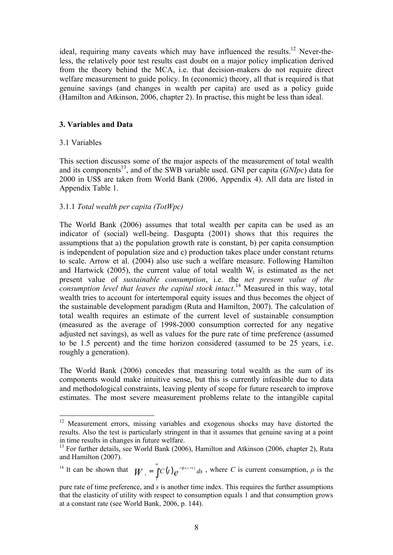ideal, requiring many caveats which may have influenced the results.<sup>12</sup> Never-theless, the relatively poor test results cast doubt on a major policy implication derived from the theory behind the MCA, i.e. that decision-makers do not require direct welfare measurement to guide policy. In (economic) theory, all that is required is that genuine savings (and changes in wealth per capita) are used as a policy guide (Hamilton and Atkinson, 2006, chapter 2). In practise, this might be less than ideal.

#### **3. Variables and Data**

#### 3.1 Variables

 $\overline{a}$ 

This section discusses some of the major aspects of the measurement of total wealth and its components<sup>13</sup>, and of the SWB variable used. GNI per capita ( $GNIpc$ ) data for 2000 in US\$ are taken from World Bank (2006, Appendix 4). All data are listed in Appendix Table 1.

## 3.1.1 *Total wealth per capita (TotWpc)*

The World Bank (2006) assumes that total wealth per capita can be used as an indicator of (social) well-being. Dasgupta (2001) shows that this requires the assumptions that a) the population growth rate is constant, b) per capita consumption is independent of population size and c) production takes place under constant returns to scale. Arrow et al. (2004) also use such a welfare measure. Following Hamilton and Hartwick (2005), the current value of total wealth  $W_t$  is estimated as the net present value of *sustainable consumption*, i.e. the *net present value of the consumption level that leaves the capital stock intact*. <sup>14</sup> Measured in this way, total wealth tries to account for intertemporal equity issues and thus becomes the object of the sustainable development paradigm (Ruta and Hamilton, 2007). The calculation of total wealth requires an estimate of the current level of sustainable consumption (measured as the average of 1998-2000 consumption corrected for any negative adjusted net savings), as well as values for the pure rate of time preference (assumed to be 1.5 percent) and the time horizon considered (assumed to be 25 years, i.e. roughly a generation).

The World Bank (2006) concedes that measuring total wealth as the sum of its components would make intuitive sense, but this is currently infeasible due to data and methodological constraints, leaving plenty of scope for future research to improve estimates. The most severe measurement problems relate to the intangible capital

<sup>14</sup> It can be shown that  $W_t = \int C(t) e^{-r(s-t)} ds$ *t*  $\int_{0}^{\infty}$   $\sigma(t)$  - r  $(s-t)$  $=\int C(t)e^{-r(s-t)}ds$ , where *C* is current consumption, *ρ* is the

<sup>&</sup>lt;sup>12</sup> Measurement errors, missing variables and exogenous shocks may have distorted the results. Also the test is particularly stringent in that it assumes that genuine saving at a point in time results in changes in future welfare.

<sup>&</sup>lt;sup>13</sup> For further details, see World Bank (2006), Hamilton and Atkinson (2006, chapter 2), Ruta and Hamilton (2007).

pure rate of time preference, and *s* is another time index. This requires the further assumptions that the elasticity of utility with respect to consumption equals 1 and that consumption grows at a constant rate (see World Bank, 2006, p. 144).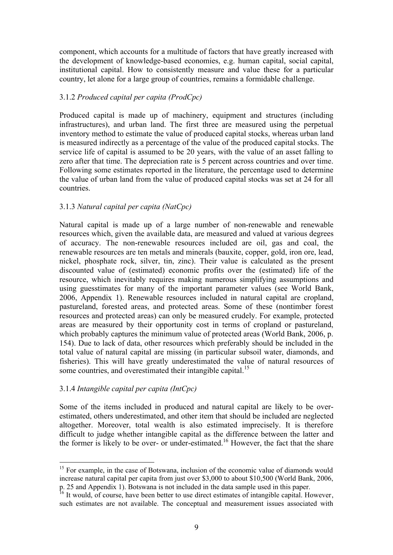component, which accounts for a multitude of factors that have greatly increased with the development of knowledge-based economies, e.g. human capital, social capital, institutional capital. How to consistently measure and value these for a particular country, let alone for a large group of countries, remains a formidable challenge.

#### 3.1.2 *Produced capital per capita (ProdCpc)*

Produced capital is made up of machinery, equipment and structures (including infrastructures), and urban land. The first three are measured using the perpetual inventory method to estimate the value of produced capital stocks, whereas urban land is measured indirectly as a percentage of the value of the produced capital stocks. The service life of capital is assumed to be 20 years, with the value of an asset falling to zero after that time. The depreciation rate is 5 percent across countries and over time. Following some estimates reported in the literature, the percentage used to determine the value of urban land from the value of produced capital stocks was set at 24 for all countries.

## 3.1.3 *Natural capital per capita (NatCpc)*

Natural capital is made up of a large number of non-renewable and renewable resources which, given the available data, are measured and valued at various degrees of accuracy. The non-renewable resources included are oil, gas and coal, the renewable resources are ten metals and minerals (bauxite, copper, gold, iron ore, lead, nickel, phosphate rock, silver, tin, zinc). Their value is calculated as the present discounted value of (estimated) economic profits over the (estimated) life of the resource, which inevitably requires making numerous simplifying assumptions and using guesstimates for many of the important parameter values (see World Bank, 2006, Appendix 1). Renewable resources included in natural capital are cropland, pastureland, forested areas, and protected areas. Some of these (nontimber forest resources and protected areas) can only be measured crudely. For example, protected areas are measured by their opportunity cost in terms of cropland or pastureland, which probably captures the minimum value of protected areas (World Bank, 2006, p. 154). Due to lack of data, other resources which preferably should be included in the total value of natural capital are missing (in particular subsoil water, diamonds, and fisheries). This will have greatly underestimated the value of natural resources of some countries, and overestimated their intangible capital.<sup>15</sup>

## 3.1.4 *Intangible capital per capita (IntCpc)*

 $\overline{a}$ 

Some of the items included in produced and natural capital are likely to be overestimated, others underestimated, and other item that should be included are neglected altogether. Moreover, total wealth is also estimated imprecisely. It is therefore difficult to judge whether intangible capital as the difference between the latter and the former is likely to be over- or under-estimated.<sup>16</sup> However, the fact that the share

 $15$  For example, in the case of Botswana, inclusion of the economic value of diamonds would increase natural capital per capita from just over \$3,000 to about \$10,500 (World Bank, 2006, p. 25 and Appendix 1). Botswana is not included in the data sample used in this paper.

 $16$  It would, of course, have been better to use direct estimates of intangible capital. However, such estimates are not available. The conceptual and measurement issues associated with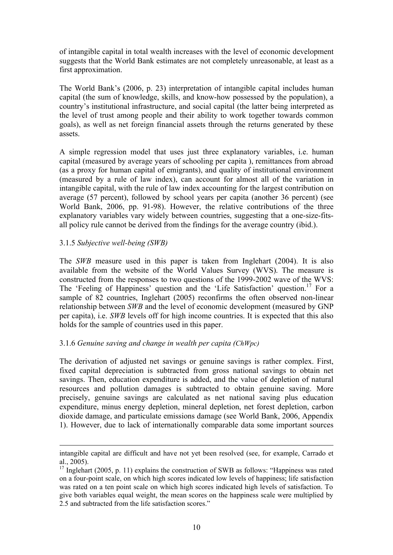of intangible capital in total wealth increases with the level of economic development suggests that the World Bank estimates are not completely unreasonable, at least as a first approximation.

The World Bank's (2006, p. 23) interpretation of intangible capital includes human capital (the sum of knowledge, skills, and know-how possessed by the population), a country's institutional infrastructure, and social capital (the latter being interpreted as the level of trust among people and their ability to work together towards common goals), as well as net foreign financial assets through the returns generated by these assets.

A simple regression model that uses just three explanatory variables, i.e. human capital (measured by average years of schooling per capita ), remittances from abroad (as a proxy for human capital of emigrants), and quality of institutional environment (measured by a rule of law index), can account for almost all of the variation in intangible capital, with the rule of law index accounting for the largest contribution on average (57 percent), followed by school years per capita (another 36 percent) (see World Bank, 2006, pp. 91-98). However, the relative contributions of the three explanatory variables vary widely between countries, suggesting that a one-size-fitsall policy rule cannot be derived from the findings for the average country (ibid.).

#### 3.1.5 *Subjective well-being (SWB)*

 $\overline{a}$ 

The *SWB* measure used in this paper is taken from Inglehart (2004). It is also available from the website of the World Values Survey (WVS). The measure is constructed from the responses to two questions of the 1999-2002 wave of the WVS: The 'Feeling of Happiness' question and the 'Life Satisfaction' question.<sup>17</sup> For a sample of 82 countries, Inglehart (2005) reconfirms the often observed non-linear relationship between *SWB* and the level of economic development (measured by GNP per capita), i.e. *SWB* levels off for high income countries. It is expected that this also holds for the sample of countries used in this paper.

## 3.1.6 *Genuine saving and change in wealth per capita (ChWpc)*

The derivation of adjusted net savings or genuine savings is rather complex. First, fixed capital depreciation is subtracted from gross national savings to obtain net savings. Then, education expenditure is added, and the value of depletion of natural resources and pollution damages is subtracted to obtain genuine saving. More precisely, genuine savings are calculated as net national saving plus education expenditure, minus energy depletion, mineral depletion, net forest depletion, carbon dioxide damage, and particulate emissions damage (see World Bank, 2006, Appendix 1). However, due to lack of internationally comparable data some important sources

intangible capital are difficult and have not yet been resolved (see, for example, Carrado et al., 2005).

 $17$  Inglehart (2005, p. 11) explains the construction of SWB as follows: "Happiness was rated on a four-point scale, on which high scores indicated low levels of happiness; life satisfaction was rated on a ten point scale on which high scores indicated high levels of satisfaction. To give both variables equal weight, the mean scores on the happiness scale were multiplied by 2.5 and subtracted from the life satisfaction scores."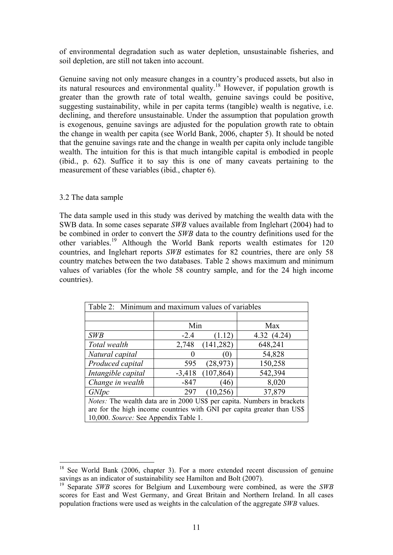of environmental degradation such as water depletion, unsustainable fisheries, and soil depletion, are still not taken into account.

Genuine saving not only measure changes in a country's produced assets, but also in its natural resources and environmental quality.<sup>18</sup> However, if population growth is greater than the growth rate of total wealth, genuine savings could be positive, suggesting sustainability, while in per capita terms (tangible) wealth is negative, i.e. declining, and therefore unsustainable. Under the assumption that population growth is exogenous, genuine savings are adjusted for the population growth rate to obtain the change in wealth per capita (see World Bank, 2006, chapter 5). It should be noted that the genuine savings rate and the change in wealth per capita only include tangible wealth. The intuition for this is that much intangible capital is embodied in people (ibid., p. 62). Suffice it to say this is one of many caveats pertaining to the measurement of these variables (ibid., chapter 6).

#### 3.2 The data sample

 $\overline{a}$ 

The data sample used in this study was derived by matching the wealth data with the SWB data. In some cases separate *SWB* values available from Inglehart (2004) had to be combined in order to convert the *SWB* data to the country definitions used for the other variables.<sup>19</sup> Although the World Bank reports wealth estimates for 120 countries, and Inglehart reports *SWB* estimates for 82 countries, there are only 58 country matches between the two databases. Table 2 shows maximum and minimum values of variables (for the whole 58 country sample, and for the 24 high income countries).

| Table 2: Minimum and maximum values of variables                               |                                                                         |            |            |  |  |  |  |  |  |  |
|--------------------------------------------------------------------------------|-------------------------------------------------------------------------|------------|------------|--|--|--|--|--|--|--|
|                                                                                |                                                                         |            |            |  |  |  |  |  |  |  |
|                                                                                | Min                                                                     |            | Max        |  |  |  |  |  |  |  |
| <b>SWB</b>                                                                     | $-2.4$                                                                  | (1.12)     | 4.32(4.24) |  |  |  |  |  |  |  |
| Total wealth                                                                   | 2,748                                                                   | (141, 282) | 648,241    |  |  |  |  |  |  |  |
| Natural capital                                                                |                                                                         | (U)        | 54,828     |  |  |  |  |  |  |  |
| Produced capital                                                               | 595                                                                     | (28, 973)  | 150,258    |  |  |  |  |  |  |  |
| Intangible capital                                                             | $-3,418$                                                                | (107, 864) | 542,394    |  |  |  |  |  |  |  |
| Change in wealth                                                               | $-847$                                                                  | (46)       | 8,020      |  |  |  |  |  |  |  |
| <i>GNIpc</i>                                                                   | 297                                                                     | (10, 256)  | 37,879     |  |  |  |  |  |  |  |
| <i>Notes:</i> The wealth data are in 2000 US\$ per capita. Numbers in brackets |                                                                         |            |            |  |  |  |  |  |  |  |
|                                                                                | are for the high income countries with GNI per capita greater than US\$ |            |            |  |  |  |  |  |  |  |
| 10,000. Source: See Appendix Table 1.                                          |                                                                         |            |            |  |  |  |  |  |  |  |

 $18$  See World Bank (2006, chapter 3). For a more extended recent discussion of genuine savings as an indicator of sustainability see Hamilton and Bolt (2007).

<sup>19</sup> Separate *SWB* scores for Belgium and Luxembourg were combined, as were the *SWB* scores for East and West Germany, and Great Britain and Northern Ireland. In all cases population fractions were used as weights in the calculation of the aggregate *SWB* values.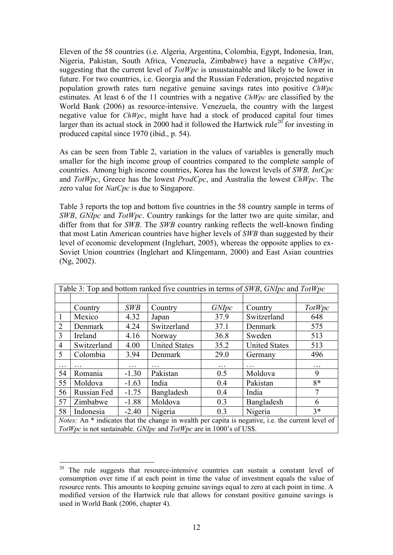Eleven of the 58 countries (i.e. Algeria, Argentina, Colombia, Egypt, Indonesia, Iran, Nigeria, Pakistan, South Africa, Venezuela, Zimbabwe) have a negative *ChWpc*, suggesting that the current level of *TotWpc* is unsustainable and likely to be lower in future. For two countries, i.e. Georgia and the Russian Federation, projected negative population growth rates turn negative genuine savings rates into positive *ChWpc* estimates. At least 6 of the 11 countries with a negative *ChWpc* are classified by the World Bank (2006) as resource-intensive. Venezuela, the country with the largest negative value for *ChWpc*, might have had a stock of produced capital four times larger than its actual stock in 2000 had it followed the Hartwick rule<sup>20</sup> for investing in produced capital since 1970 (ibid., p. 54).

As can be seen from Table 2, variation in the values of variables is generally much smaller for the high income group of countries compared to the complete sample of countries. Among high income countries, Korea has the lowest levels of *SWB, IntCpc* and *TotWpc*, Greece has the lowest *ProdCpc*, and Australia the lowest *ChWpc*. The zero value for *NatCpc* is due to Singapore.

Table 3 reports the top and bottom five countries in the 58 country sample in terms of *SWB*, *GNIpc* and *TotWpc*. Country rankings for the latter two are quite similar, and differ from that for *SWB*. The *SWB* country ranking reflects the well-known finding that most Latin American countries have higher levels of *SWB* than suggested by their level of economic development (Inglehart, 2005), whereas the opposite applies to ex-Soviet Union countries (Inglehart and Klingemann, 2000) and East Asian countries (Ng, 2002).

|                                                                 |             |            |                                                                    |              | Table 3: Top and bottom ranked five countries in terms of SWB, GNIpc and TotWpc                          |        |  |  |
|-----------------------------------------------------------------|-------------|------------|--------------------------------------------------------------------|--------------|----------------------------------------------------------------------------------------------------------|--------|--|--|
|                                                                 |             |            |                                                                    |              |                                                                                                          |        |  |  |
|                                                                 | Country     | <b>SWB</b> | Country                                                            | <i>GNIpc</i> | Country                                                                                                  | TotWpc |  |  |
| $\mathbf{1}$                                                    | Mexico      | 4.32       | Japan                                                              | 37.9         | Switzerland                                                                                              | 648    |  |  |
| 2                                                               | Denmark     | 4.24       | Switzerland                                                        | 37.1         | Denmark                                                                                                  | 575    |  |  |
| $\overline{3}$                                                  | Ireland     | 4.16       | Norway                                                             | 36.8         | Sweden                                                                                                   | 513    |  |  |
| $\overline{4}$                                                  | Switzerland | 4.00       | <b>United States</b>                                               | 35.2         | <b>United States</b>                                                                                     | 513    |  |  |
| $\mathfrak{S}$                                                  | Colombia    | 3.94       | Denmark                                                            | 29.0         | Germany                                                                                                  | 496    |  |  |
| .                                                               |             | .          |                                                                    | .            |                                                                                                          | .      |  |  |
| 54                                                              | Romania     | $-1.30$    | Pakistan                                                           | 0.5          | Moldova                                                                                                  | 9      |  |  |
| 55                                                              | Moldova     | $-1.63$    | India                                                              | 0.4          | Pakistan                                                                                                 | $8*$   |  |  |
| 56                                                              | Russian Fed | $-1.75$    | Bangladesh                                                         | 0.4          | India                                                                                                    | 7      |  |  |
| 57                                                              | Zimbabwe    | $-1.88$    | Moldova                                                            | 0.3          | Bangladesh                                                                                               | 6      |  |  |
| $3*$<br>Nigeria<br>58<br>Indonesia<br>$-2.40$<br>Nigeria<br>0.3 |             |            |                                                                    |              |                                                                                                          |        |  |  |
|                                                                 |             |            |                                                                    |              | <i>Notes:</i> An * indicates that the change in wealth per capita is negative, i.e. the current level of |        |  |  |
|                                                                 |             |            | TotWpc is not sustainable. GNIpc and TotWpc are in 1000's of US\$. |              |                                                                                                          |        |  |  |

 $20$  The rule suggests that resource-intensive countries can sustain a constant level of consumption over time if at each point in time the value of investment equals the value of resource rents. This amounts to keeping genuine savings equal to zero at each point in time. A modified version of the Hartwick rule that allows for constant positive genuine savings is used in World Bank (2006, chapter 4).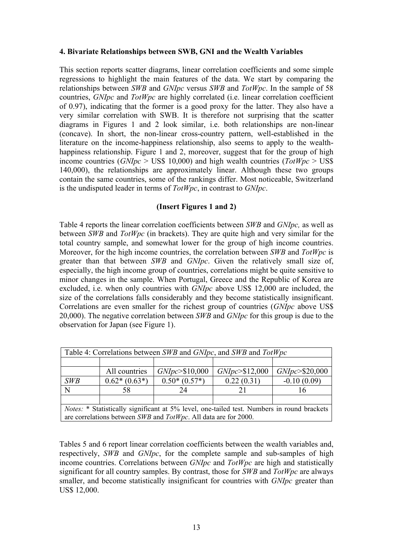#### **4. Bivariate Relationships between SWB, GNI and the Wealth Variables**

This section reports scatter diagrams, linear correlation coefficients and some simple regressions to highlight the main features of the data. We start by comparing the relationships between *SWB* and *GNIpc* versus *SWB* and *TotWpc*. In the sample of 58 countries, *GNIpc* and *TotWpc* are highly correlated (i.e. linear correlation coefficient of 0.97), indicating that the former is a good proxy for the latter. They also have a very similar correlation with SWB. It is therefore not surprising that the scatter diagrams in Figures 1 and 2 look similar, i.e. both relationships are non-linear (concave). In short, the non-linear cross-country pattern, well-established in the literature on the income-happiness relationship, also seems to apply to the wealthhappiness relationship. Figure 1 and 2, moreover, suggest that for the group of high income countries (*GNIpc* > US\$ 10,000) and high wealth countries (*TotWpc* > US\$ 140,000), the relationships are approximately linear. Although these two groups contain the same countries, some of the rankings differ. Most noticeable, Switzerland is the undisputed leader in terms of *TotWpc*, in contrast to *GNIpc*.

#### **(Insert Figures 1 and 2)**

Table 4 reports the linear correlation coefficients between *SWB* and *GNIpc,* as well as between *SWB* and *TotWpc* (in brackets). They are quite high and very similar for the total country sample, and somewhat lower for the group of high income countries. Moreover, for the high income countries, the correlation between *SWB* and *TotWpc* is greater than that between *SWB* and *GNIpc*. Given the relatively small size of, especially, the high income group of countries, correlations might be quite sensitive to minor changes in the sample. When Portugal, Greece and the Republic of Korea are excluded, i.e. when only countries with *GNIpc* above US\$ 12,000 are included, the size of the correlations falls considerably and they become statistically insignificant. Correlations are even smaller for the richest group of countries (*GNIpc* above US\$ 20,000). The negative correlation between *SWB* and *GNIpc* for this group is due to the observation for Japan (see Figure 1).

| Table 4: Correlations between SWB and GNIpc, and SWB and TotWpc |                |                  |                  |                    |  |  |  |  |  |  |
|-----------------------------------------------------------------|----------------|------------------|------------------|--------------------|--|--|--|--|--|--|
|                                                                 |                |                  |                  |                    |  |  |  |  |  |  |
|                                                                 | All countries  | GNlpc > \$10,000 | GNlpc > \$12,000 | $GNlpc$ > \$20,000 |  |  |  |  |  |  |
| <b>SWB</b>                                                      | $0.62*(0.63*)$ | $0.50*(0.57*)$   | 0.22(0.31)       | $-0.10(0.09)$      |  |  |  |  |  |  |
|                                                                 | 58             | 24               |                  |                    |  |  |  |  |  |  |
|                                                                 |                |                  |                  |                    |  |  |  |  |  |  |

*Notes:* \* Statistically significant at 5% level, one-tailed test. Numbers in round brackets are correlations between *SWB* and *TotWpc*. All data are for 2000.

Tables 5 and 6 report linear correlation coefficients between the wealth variables and, respectively, *SWB* and *GNIpc*, for the complete sample and sub-samples of high income countries. Correlations between *GNIpc* and *TotWpc* are high and statistically significant for all country samples. By contrast, those for *SWB* and *TotWpc* are always smaller, and become statistically insignificant for countries with *GNIpc* greater than US\$ 12,000.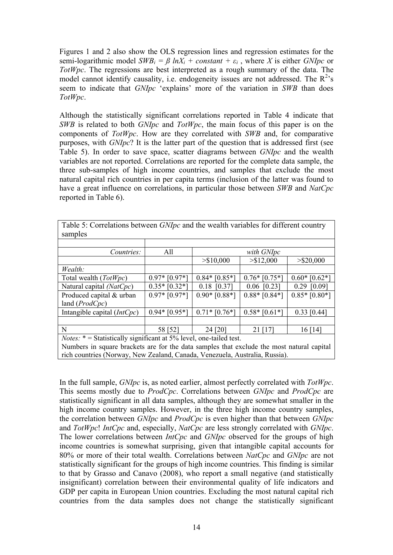Figures 1 and 2 also show the OLS regression lines and regression estimates for the semi-logarithmic model  $SWB_i = \beta lnX_i + constant + \varepsilon_i$ , where *X* is either *GNIpc* or *TotWpc*. The regressions are best interpreted as a rough summary of the data. The model cannot identify causality, i.e. endogeneity issues are not addressed. The  $R^2$ 's seem to indicate that *GNIpc* 'explains' more of the variation in *SWB* than does *TotWpc*.

Although the statistically significant correlations reported in Table 4 indicate that *SWB* is related to both *GNIpc* and *TotWpc*, the main focus of this paper is on the components of *TotWpc*. How are they correlated with *SWB* and, for comparative purposes, with *GNIpc*? It is the latter part of the question that is addressed first (see Table 5). In order to save space, scatter diagrams between *GNIpc* and the wealth variables are not reported. Correlations are reported for the complete data sample, the three sub-samples of high income countries, and samples that exclude the most natural capital rich countries in per capita terms (inclusion of the latter was found to have a great influence on correlations, in particular those between *SWB* and *NatCpc* reported in Table 6).

| samples                                                                                   |                 |                 |                 |                 |
|-------------------------------------------------------------------------------------------|-----------------|-----------------|-----------------|-----------------|
|                                                                                           |                 |                 |                 |                 |
| Countries:                                                                                | All             |                 | with GNIpc      |                 |
|                                                                                           |                 | > \$10,000      | > \$12,000      | $>$ \$20,000    |
| Wealth:                                                                                   |                 |                 |                 |                 |
| Total wealth $(TotWpc)$                                                                   | $0.97*$ [0.97*] | $0.84*$ [0.85*] | $0.76*$ [0.75*] | $0.60*$ [0.62*] |
| Natural capital $(NatCpc)$                                                                | $0.35*$ [0.32*] | $0.18$ [0.37]   | $0.06$ [0.23]   | [0.09]<br>0.29  |
| Produced capital & urban                                                                  | $0.97*$ [0.97*] | $0.90*$ [0.88*] | $0.88*$ [0.84*] | $0.85*$ [0.80*] |
| land $(ProdCpc)$                                                                          |                 |                 |                 |                 |
| Intangible capital $(IntCpc)$                                                             | $0.94*$ [0.95*] | $0.71*$ [0.76*] | $0.58*$ [0.61*] | $0.33$ [0.44]   |
|                                                                                           |                 |                 |                 |                 |
| N                                                                                         | 58 [52]         | 24 [20]         | 21 [17]         | 16 [14]         |
| <i>Notes:</i> $*$ = Statistically significant at 5% level, one-tailed test.               |                 |                 |                 |                 |
| Numbers in course breakets are for the date samples that evalude the meet natural conital |                 |                 |                 |                 |

Table 5: Correlations between *GNIpc* and the wealth variables for different country samples

Numbers in square brackets are for the data samples that exclude the most natural capital rich countries (Norway, New Zealand, Canada, Venezuela, Australia, Russia).

In the full sample, *GNIpc* is, as noted earlier, almost perfectly correlated with *TotWpc*. This seems mostly due to *ProdCpc*. Correlations between *GNIpc* and *ProdCpc* are statistically significant in all data samples, although they are somewhat smaller in the high income country samples. However, in the three high income country samples, the correlation between *GNIpc* and *ProdCpc* is even higher than that between *GNIpc* and *TotWpc*! *IntCpc* and, especially, *NatCpc* are less strongly correlated with *GNIpc*. The lower correlations between *IntCpc* and *GNIpc* observed for the groups of high income countries is somewhat surprising, given that intangible capital accounts for 80% or more of their total wealth. Correlations between *NatCpc* and *GNIpc* are not statistically significant for the groups of high income countries. This finding is similar to that by Grasso and Canavo (2008), who report a small negative (and statistically insignificant) correlation between their environmental quality of life indicators and GDP per capita in European Union countries. Excluding the most natural capital rich countries from the data samples does not change the statistically significant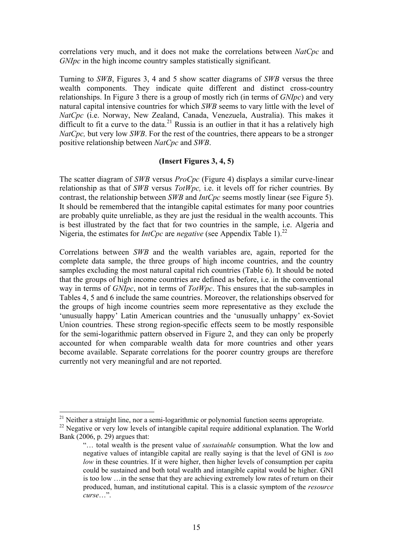correlations very much, and it does not make the correlations between *NatCpc* and *GNIpc* in the high income country samples statistically significant.

Turning to *SWB*, Figures 3, 4 and 5 show scatter diagrams of *SWB* versus the three wealth components. They indicate quite different and distinct cross-country relationships. In Figure 3 there is a group of mostly rich (in terms of *GNIpc*) and very natural capital intensive countries for which *SWB* seems to vary little with the level of *NatCpc* (i.e. Norway, New Zealand, Canada, Venezuela, Australia). This makes it difficult to fit a curve to the data.<sup>21</sup> Russia is an outlier in that it has a relatively high *NatCpc*, but very low *SWB*. For the rest of the countries, there appears to be a stronger positive relationship between *NatCpc* and *SWB*.

## **(Insert Figures 3, 4, 5)**

The scatter diagram of *SWB* versus *ProCpc* (Figure 4) displays a similar curve-linear relationship as that of *SWB* versus *TotWpc,* i.e. it levels off for richer countries. By contrast, the relationship between *SWB* and *IntCpc* seems mostly linear (see Figure 5). It should be remembered that the intangible capital estimates for many poor countries are probably quite unreliable, as they are just the residual in the wealth accounts. This is best illustrated by the fact that for two countries in the sample, i.e. Algeria and Nigeria, the estimates for *IntCpc* are *negative* (see Appendix Table 1). 22

Correlations between *SWB* and the wealth variables are, again, reported for the complete data sample, the three groups of high income countries, and the country samples excluding the most natural capital rich countries (Table 6). It should be noted that the groups of high income countries are defined as before, i.e. in the conventional way in terms of *GNIpc*, not in terms of *TotWpc*. This ensures that the sub-samples in Tables 4, 5 and 6 include the same countries. Moreover, the relationships observed for the groups of high income countries seem more representative as they exclude the 'unusually happy' Latin American countries and the 'unusually unhappy' ex-Soviet Union countries. These strong region-specific effects seem to be mostly responsible for the semi-logarithmic pattern observed in Figure 2, and they can only be properly accounted for when comparable wealth data for more countries and other years become available. Separate correlations for the poorer country groups are therefore currently not very meaningful and are not reported.

 $21$  Neither a straight line, nor a semi-logarithmic or polynomial function seems appropriate.

<sup>&</sup>lt;sup>22</sup> Negative or very low levels of intangible capital require additional explanation. The World Bank (2006, p. 29) argues that:

<sup>&</sup>quot;… total wealth is the present value of *sustainable* consumption. What the low and negative values of intangible capital are really saying is that the level of GNI is *too low* in these countries. If it were higher, then higher levels of consumption per capita could be sustained and both total wealth and intangible capital would be higher. GNI is too low …in the sense that they are achieving extremely low rates of return on their produced, human, and institutional capital. This is a classic symptom of the *resource curse*…".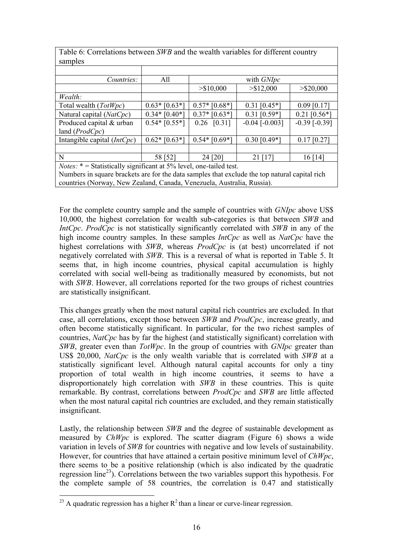| samples                                                                                       |                 |                 |                    |                   |
|-----------------------------------------------------------------------------------------------|-----------------|-----------------|--------------------|-------------------|
|                                                                                               |                 |                 |                    |                   |
| Countries:                                                                                    | All             |                 | with GNIpc         |                   |
|                                                                                               |                 | > \$10,000      | > \$12,000         | $>$ \$20,000      |
| Wealth:                                                                                       |                 |                 |                    |                   |
| Total wealth $(TotWpc)$                                                                       | $0.63*$ [0.63*] | $0.57*$ [0.68*] | $0.31$ [0.45*]     | $0.09$ [0.17]     |
| Natural capital (NatCpc)                                                                      | $0.34*$ [0.40*] | $0.37*$ [0.63*] | $0.31$ [0.59*]     | $0.21$ [0.56*]    |
| Produced capital & urban                                                                      | $0.54*$ [0.55*] | $0.26$ [0.31]   | $-0.04$ $[-0.003]$ | $-0.39$ $[-0.39]$ |
| land $(ProdCpc)$                                                                              |                 |                 |                    |                   |
| Intangible capital $(IntCpc)$                                                                 | $0.62*$ [0.63*] | $0.54*$ [0.69*] | $0.30$ [0.49*]     | $0.17$ [0.27]     |
|                                                                                               |                 |                 |                    |                   |
| N                                                                                             | 58 [52]         | 24 [20]         | $21$ [17]          | 16 [14]           |
| <i>Notes:</i> $*$ = Statistically significant at 5% level, one-tailed test.                   |                 |                 |                    |                   |
| Numbers in square brackets are for the data samples that exclude the top natural capital rich |                 |                 |                    |                   |
| countries (Norway, New Zealand, Canada, Venezuela, Australia, Russia).                        |                 |                 |                    |                   |

Table 6: Correlations between *SWB* and the wealth variables for different country

For the complete country sample and the sample of countries with *GNIpc* above US\$ 10,000, the highest correlation for wealth sub-categories is that between *SWB* and *IntCpc*. *ProdCpc* is not statistically significantly correlated with *SWB* in any of the high income country samples. In these samples *IntCpc* as well as *NatCpc* have the highest correlations with *SWB*, whereas *ProdCpc* is (at best) uncorrelated if not negatively correlated with *SWB*. This is a reversal of what is reported in Table 5. It seems that, in high income countries, physical capital accumulation is highly correlated with social well-being as traditionally measured by economists, but not with *SWB*. However, all correlations reported for the two groups of richest countries are statistically insignificant.

This changes greatly when the most natural capital rich countries are excluded. In that case, all correlations, except those between *SWB* and *ProdCpc*, increase greatly, and often become statistically significant. In particular, for the two richest samples of countries, *NatCpc* has by far the highest (and statistically significant) correlation with *SWB*, greater even than *TotWpc*. In the group of countries with *GNIpc* greater than US\$ 20,000, *NatCpc* is the only wealth variable that is correlated with *SWB* at a statistically significant level. Although natural capital accounts for only a tiny proportion of total wealth in high income countries, it seems to have a disproportionately high correlation with *SWB* in these countries. This is quite remarkable. By contrast, correlations between *ProdCpc* and *SWB* are little affected when the most natural capital rich countries are excluded, and they remain statistically insignificant.

Lastly, the relationship between *SWB* and the degree of sustainable development as measured by *ChWpc* is explored. The scatter diagram (Figure 6) shows a wide variation in levels of *SWB* for countries with negative and low levels of sustainability. However, for countries that have attained a certain positive minimum level of *ChWpc*, there seems to be a positive relationship (which is also indicated by the quadratic regression line<sup>23</sup>). Correlations between the two variables support this hypothesis. For the complete sample of 58 countries, the correlation is 0.47 and statistically

 $\overline{a}$ <sup>23</sup> A quadratic regression has a higher  $R^2$  than a linear or curve-linear regression.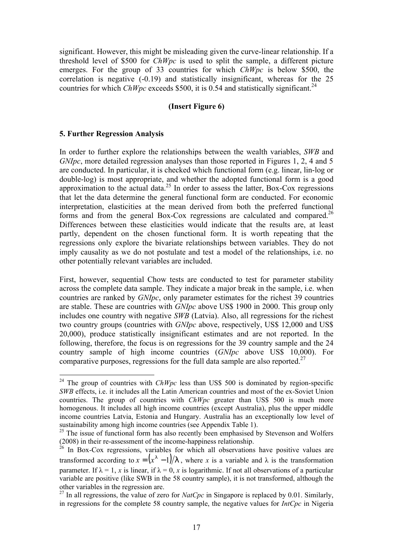significant. However, this might be misleading given the curve-linear relationship. If a threshold level of \$500 for *ChWpc* is used to split the sample, a different picture emerges. For the group of 33 countries for which *ChWpc* is below \$500, the correlation is negative (-0.19) and statistically insignificant, whereas for the 25 countries for which *ChWpc* exceeds \$500, it is 0.54 and statistically significant.<sup>24</sup>

#### **(Insert Figure 6)**

## **5. Further Regression Analysis**

 $\overline{a}$ 

In order to further explore the relationships between the wealth variables, *SWB* and *GNIpc*, more detailed regression analyses than those reported in Figures 1, 2, 4 and 5 are conducted. In particular, it is checked which functional form (e.g. linear, lin-log or double-log) is most appropriate, and whether the adopted functional form is a good approximation to the actual data.<sup>25</sup> In order to assess the latter, Box-Cox regressions that let the data determine the general functional form are conducted. For economic interpretation, elasticities at the mean derived from both the preferred functional forms and from the general Box-Cox regressions are calculated and compared.<sup>26</sup> Differences between these elasticities would indicate that the results are, at least partly, dependent on the chosen functional form. It is worth repeating that the regressions only explore the bivariate relationships between variables. They do not imply causality as we do not postulate and test a model of the relationships, i.e. no other potentially relevant variables are included.

First, however, sequential Chow tests are conducted to test for parameter stability across the complete data sample. They indicate a major break in the sample, i.e. when countries are ranked by *GNIpc*, only parameter estimates for the richest 39 countries are stable. These are countries with *GNIpc* above US\$ 1900 in 2000. This group only includes one country with negative *SWB* (Latvia). Also, all regressions for the richest two country groups (countries with *GNIpc* above, respectively, US\$ 12,000 and US\$ 20,000), produce statistically insignificant estimates and are not reported. In the following, therefore, the focus is on regressions for the 39 country sample and the 24 country sample of high income countries (*GNIpc* above US\$ 10,000). For comparative purposes, regressions for the full data sample are also reported.<sup>27</sup>

<sup>&</sup>lt;sup>24</sup> The group of countries with *ChWpc* less than US\$ 500 is dominated by region-specific *SWB* effects, i.e. it includes all the Latin American countries and most of the ex-Soviet Union countries. The group of countries with *ChWpc* greater than US\$ 500 is much more homogenous. It includes all high income countries (except Australia), plus the upper middle income countries Latvia, Estonia and Hungary. Australia has an exceptionally low level of sustainability among high income countries (see Appendix Table 1).

 $25$  The issue of functional form has also recently been emphasised by Stevenson and Wolfers (2008) in their re-assessment of the income-happiness relationship.

 $26$  In Box-Cox regressions, variables for which all observations have positive values are transformed according to  $x = (x^1 - 1)/1$ , where x is a variable and  $\lambda$  is the transformation parameter. If  $\lambda = 1$ , *x* is linear, if  $\lambda = 0$ , *x* is logarithmic. If not all observations of a particular variable are positive (like SWB in the 58 country sample), it is not transformed, although the other variables in the regression are.

<sup>&</sup>lt;sup>27</sup> In all regressions, the value of zero for *NatCpc* in Singapore is replaced by 0.01. Similarly, in regressions for the complete 58 country sample, the negative values for *IntCpc* in Nigeria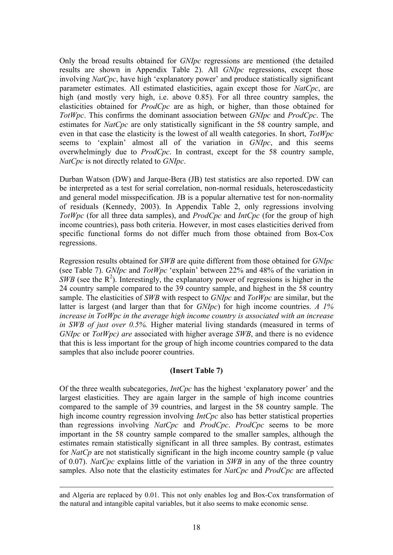Only the broad results obtained for *GNIpc* regressions are mentioned (the detailed results are shown in Appendix Table 2). All *GNIpc* regressions, except those involving *NatCpc*, have high 'explanatory power' and produce statistically significant parameter estimates. All estimated elasticities, again except those for *NatCpc*, are high (and mostly very high, i.e. above 0.85). For all three country samples, the elasticities obtained for *ProdCpc* are as high, or higher, than those obtained for *TotWpc*. This confirms the dominant association between *GNIpc* and *ProdCpc*. The estimates for *NatCpc* are only statistically significant in the 58 country sample, and even in that case the elasticity is the lowest of all wealth categories. In short, *TotWpc* seems to 'explain' almost all of the variation in *GNIpc*, and this seems overwhelmingly due to *ProdCpc*. In contrast, except for the 58 country sample, *NatCpc* is not directly related to *GNIpc*.

Durban Watson (DW) and Jarque-Bera (JB) test statistics are also reported. DW can be interpreted as a test for serial correlation, non-normal residuals, heteroscedasticity and general model misspecification. JB is a popular alternative test for non-normality of residuals (Kennedy, 2003). In Appendix Table 2, only regressions involving *TotWpc* (for all three data samples), and *ProdCpc* and *IntCpc* (for the group of high income countries), pass both criteria. However, in most cases elasticities derived from specific functional forms do not differ much from those obtained from Box-Cox regressions.

Regression results obtained for *SWB* are quite different from those obtained for *GNIpc* (see Table 7). *GNIpc* and *TotWpc* 'explain' between 22% and 48% of the variation in  $SWB$  (see the  $R^2$ ). Interestingly, the explanatory power of regressions is higher in the 24 country sample compared to the 39 country sample, and highest in the 58 country sample. The elasticities of *SWB* with respect to *GNIpc* and *TotWpc* are similar, but the latter is largest (and larger than that for *GNIpc*) for high income countries. *A 1% increase in TotWpc in the average high income country is associated with an increase in SWB of just over 0.5%.* Higher material living standards (measured in terms of *GNIpc* or *TotWpc) are* associated with higher average *SWB*, and there is no evidence that this is less important for the group of high income countries compared to the data samples that also include poorer countries.

#### **(Insert Table 7)**

Of the three wealth subcategories, *IntCpc* has the highest 'explanatory power' and the largest elasticities. They are again larger in the sample of high income countries compared to the sample of 39 countries, and largest in the 58 country sample. The high income country regression involving *IntCpc* also has better statistical properties than regressions involving *NatCpc* and *ProdCpc*. *ProdCpc* seems to be more important in the 58 country sample compared to the smaller samples, although the estimates remain statistically significant in all three samples. By contrast, estimates for *NatCp* are not statistically significant in the high income country sample (p value of 0.07). *NatCpc* explains little of the variation in *SWB* in any of the three country samples. Also note that the elasticity estimates for *NatCpc* and *ProdCpc* are affected

and Algeria are replaced by 0.01. This not only enables log and Box-Cox transformation of the natural and intangible capital variables, but it also seems to make economic sense.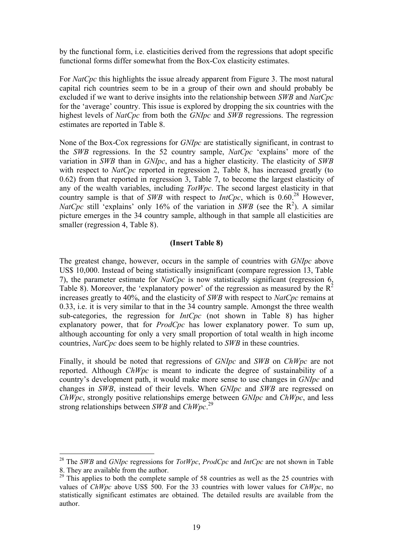by the functional form, i.e. elasticities derived from the regressions that adopt specific functional forms differ somewhat from the Box-Cox elasticity estimates.

For *NatCpc* this highlights the issue already apparent from Figure 3. The most natural capital rich countries seem to be in a group of their own and should probably be excluded if we want to derive insights into the relationship between *SWB* and *NatCpc*  for the 'average' country. This issue is explored by dropping the six countries with the highest levels of *NatCpc* from both the *GNIpc* and *SWB* regressions. The regression estimates are reported in Table 8.

None of the Box-Cox regressions for *GNIpc* are statistically significant, in contrast to the *SWB* regressions. In the 52 country sample, *NatCpc* 'explains' more of the variation in *SWB* than in *GNIpc*, and has a higher elasticity. The elasticity of *SWB* with respect to *NatCpc* reported in regression 2, Table 8, has increased greatly (to 0.62) from that reported in regression 3, Table 7, to become the largest elasticity of any of the wealth variables, including *TotWpc*. The second largest elasticity in that country sample is that of *SWB* with respect to *IntCpc*, which is 0.60<sup>28</sup> However, *NatCpc* still 'explains' only 16% of the variation in *SWB* (see the  $R^2$ ). A similar picture emerges in the 34 country sample, although in that sample all elasticities are smaller (regression 4, Table 8).

#### **(Insert Table 8)**

The greatest change, however, occurs in the sample of countries with *GNIpc* above US\$ 10,000. Instead of being statistically insignificant (compare regression 13, Table 7), the parameter estimate for *NatCpc* is now statistically significant (regression 6, Table 8). Moreover, the 'explanatory power' of the regression as measured by the  $R^2$ increases greatly to 40%, and the elasticity of *SWB* with respect to *NatCpc* remains at 0.33, i.e. it is very similar to that in the 34 country sample. Amongst the three wealth sub-categories, the regression for *IntCpc* (not shown in Table 8) has higher explanatory power, that for *ProdCpc* has lower explanatory power. To sum up, although accounting for only a very small proportion of total wealth in high income countries, *NatCpc* does seem to be highly related to *SWB* in these countries.

Finally, it should be noted that regressions of *GNIpc* and *SWB* on *ChWpc* are not reported. Although *ChWpc* is meant to indicate the degree of sustainability of a country's development path, it would make more sense to use changes in *GNIpc* and changes in *SWB*, instead of their levels. When *GNIpc* and *SWB* are regressed on *ChWpc*, strongly positive relationships emerge between *GNIpc* and *ChWpc*, and less strong relationships between *SWB* and *ChWpc*. 29

<sup>28</sup> The *SWB* and *GNIpc* regressions for *TotWpc*, *ProdCpc* and *IntCpc* are not shown in Table 8. They are available from the author.

 $29$  This applies to both the complete sample of 58 countries as well as the 25 countries with values of *ChWpc* above US\$ 500. For the 33 countries with lower values for *ChWpc*, no statistically significant estimates are obtained. The detailed results are available from the author.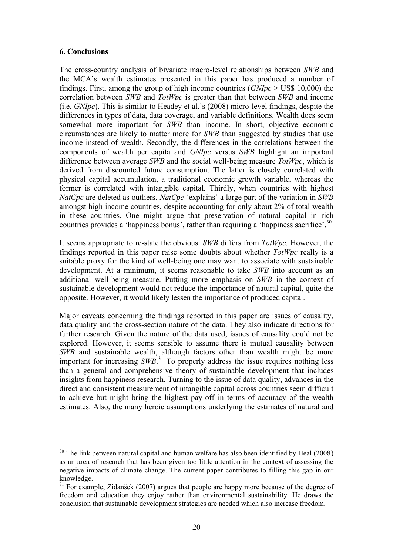#### **6. Conclusions**

 $\overline{a}$ 

The cross-country analysis of bivariate macro-level relationships between *SWB* and the MCA's wealth estimates presented in this paper has produced a number of findings. First, among the group of high income countries (*GNIpc* > US\$ 10,000) the correlation between *SWB* and *TotWpc* is greater than that between *SWB* and income (i.e. *GNIpc*). This is similar to Headey et al.'s (2008) micro-level findings, despite the differences in types of data, data coverage, and variable definitions. Wealth does seem somewhat more important for *SWB* than income. In short, objective economic circumstances are likely to matter more for *SWB* than suggested by studies that use income instead of wealth. Secondly, the differences in the correlations between the components of wealth per capita and *GNIpc* versus *SWB* highlight an important difference between average *SWB* and the social well-being measure *TotWpc*, which is derived from discounted future consumption. The latter is closely correlated with physical capital accumulation, a traditional economic growth variable, whereas the former is correlated with intangible capital. Thirdly, when countries with highest *NatCpc* are deleted as outliers, *NatCpc* 'explains' a large part of the variation in *SWB* amongst high income countries, despite accounting for only about 2% of total wealth in these countries. One might argue that preservation of natural capital in rich countries provides a 'happiness bonus', rather than requiring a 'happiness sacrifice'.<sup>30</sup>

It seems appropriate to re-state the obvious: *SWB* differs from *TotWpc.* However, the findings reported in this paper raise some doubts about whether *TotWpc* really is a suitable proxy for the kind of well-being one may want to associate with sustainable development. At a minimum, it seems reasonable to take *SWB* into account as an additional well-being measure. Putting more emphasis on *SWB* in the context of sustainable development would not reduce the importance of natural capital, quite the opposite. However, it would likely lessen the importance of produced capital.

Major caveats concerning the findings reported in this paper are issues of causality, data quality and the cross-section nature of the data. They also indicate directions for further research. Given the nature of the data used, issues of causality could not be explored. However, it seems sensible to assume there is mutual causality between *SWB* and sustainable wealth, although factors other than wealth might be more important for increasing *SWB*. <sup>31</sup> To properly address the issue requires nothing less than a general and comprehensive theory of sustainable development that includes insights from happiness research. Turning to the issue of data quality, advances in the direct and consistent measurement of intangible capital across countries seem difficult to achieve but might bring the highest pay-off in terms of accuracy of the wealth estimates. Also, the many heroic assumptions underlying the estimates of natural and

 $30$  The link between natural capital and human welfare has also been identified by Heal (2008) as an area of research that has been given too little attention in the context of assessing the negative impacts of climate change. The current paper contributes to filling this gap in our knowledge.

<sup>&</sup>lt;sup>31</sup> For example, Zidanšek (2007) argues that people are happy more because of the degree of freedom and education they enjoy rather than environmental sustainability. He draws the conclusion that sustainable development strategies are needed which also increase freedom.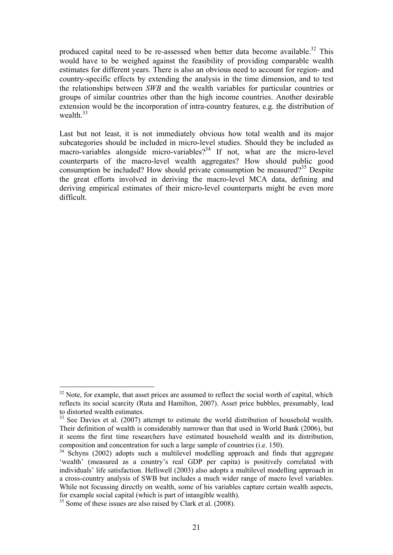produced capital need to be re-assessed when better data become available.<sup>32</sup> This would have to be weighed against the feasibility of providing comparable wealth estimates for different years. There is also an obvious need to account for region- and country-specific effects by extending the analysis in the time dimension, and to test the relationships between *SWB* and the wealth variables for particular countries or groups of similar countries other than the high income countries. Another desirable extension would be the incorporation of intra-country features, e.g. the distribution of wealth  $33$ 

Last but not least, it is not immediately obvious how total wealth and its major subcategories should be included in micro-level studies. Should they be included as macro-variables alongside micro-variables?<sup>34</sup> If not, what are the micro-level counterparts of the macro-level wealth aggregates? How should public good consumption be included? How should private consumption be measured?<sup>35</sup> Despite the great efforts involved in deriving the macro-level MCA data, defining and deriving empirical estimates of their micro-level counterparts might be even more difficult.

<sup>&</sup>lt;sup>32</sup> Note, for example, that asset prices are assumed to reflect the social worth of capital, which reflects its social scarcity (Ruta and Hamilton, 2007). Asset price bubbles, presumably, lead to distorted wealth estimates.

<sup>&</sup>lt;sup>33</sup> See Davies et al. (2007) attempt to estimate the world distribution of household wealth. Their definition of wealth is considerably narrower than that used in World Bank (2006), but it seems the first time researchers have estimated household wealth and its distribution, composition and concentration for such a large sample of countries (i.e. 150).

<sup>&</sup>lt;sup>34</sup> Schyns (2002) adopts such a multilevel modelling approach and finds that aggregate 'wealth' (measured as a country's real GDP per capita) is positively correlated with individuals' life satisfaction. Helliwell (2003) also adopts a multilevel modelling approach in a cross-country analysis of SWB but includes a much wider range of macro level variables. While not focussing directly on wealth, some of his variables capture certain wealth aspects, for example social capital (which is part of intangible wealth).

<sup>&</sup>lt;sup>35</sup> Some of these issues are also raised by Clark et al. (2008).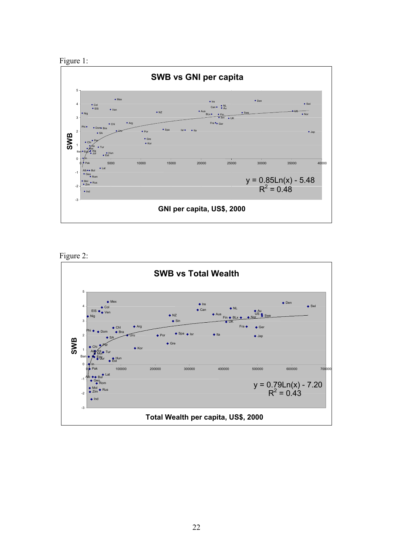



Figure 2:

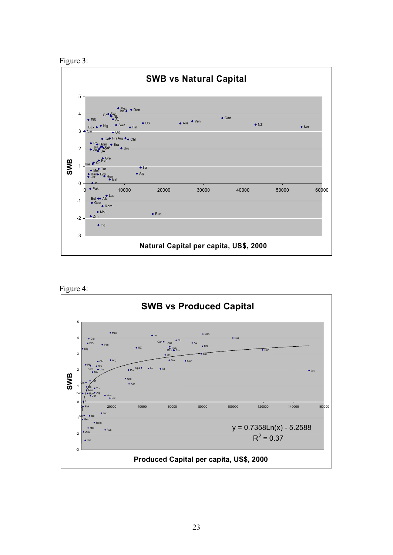



Figure 4:

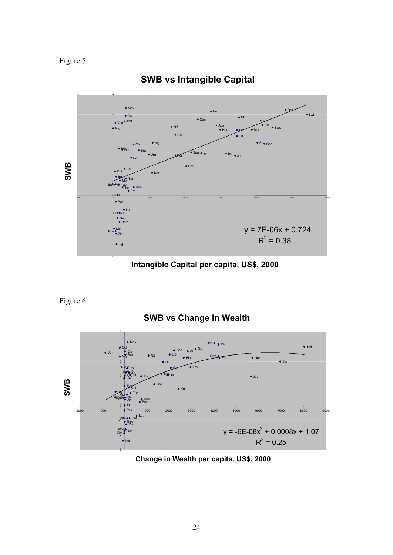



Figure 6:

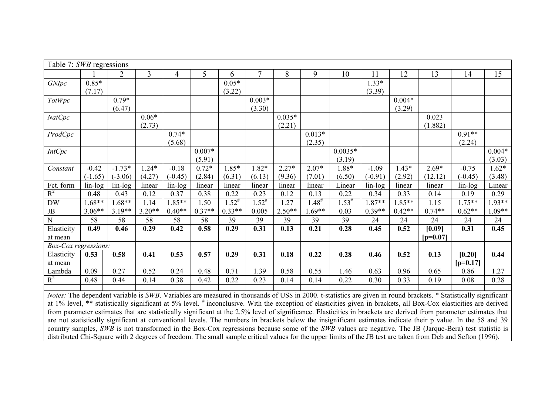| Table 7: SWB regressions    |           |                |                |           |          |             |                |          |                 |             |           |          |                                                                                                                                                                  |            |          |
|-----------------------------|-----------|----------------|----------------|-----------|----------|-------------|----------------|----------|-----------------|-------------|-----------|----------|------------------------------------------------------------------------------------------------------------------------------------------------------------------|------------|----------|
|                             |           | $\overline{2}$ | $\overline{3}$ | 4         | 5        | 6           | $\overline{7}$ | 8        | 9               | 10          | 11        | 12       | 13                                                                                                                                                               | 14         | 15       |
| GNIpc                       | $0.85*$   |                |                |           |          | $0.05*$     |                |          |                 |             | $1.33*$   |          |                                                                                                                                                                  |            |          |
|                             | (7.17)    |                |                |           |          | (3.22)      |                |          |                 |             | (3.39)    |          |                                                                                                                                                                  |            |          |
| <b>TotWpc</b>               |           | $0.79*$        |                |           |          |             | $0.003*$       |          |                 |             |           | $0.004*$ |                                                                                                                                                                  |            |          |
|                             |           | (6.47)         |                |           |          |             | (3.30)         |          |                 |             |           | (3.29)   |                                                                                                                                                                  |            |          |
| <b>NatCpc</b>               |           |                | $0.06*$        |           |          |             |                | $0.035*$ |                 |             |           |          | 0.023                                                                                                                                                            |            |          |
|                             |           |                | (2.73)         |           |          |             |                | (2.21)   |                 |             |           |          | (1.882)                                                                                                                                                          |            |          |
| ProdCpc                     |           |                |                | $0.74*$   |          |             |                |          | $0.013*$        |             |           |          |                                                                                                                                                                  | $0.91**$   |          |
|                             |           |                |                | (5.68)    |          |             |                |          | (2.35)          |             |           |          |                                                                                                                                                                  | (2.24)     |          |
| <b>IntCpc</b>               |           |                |                |           | $0.007*$ |             |                |          |                 | $0.0035*$   |           |          |                                                                                                                                                                  |            | $0.004*$ |
|                             |           |                |                |           | (5.91)   |             |                |          |                 | (3.19)      |           |          |                                                                                                                                                                  |            | (3.03)   |
| Constant                    | $-0.42$   | $-1.73*$       | $1.24*$        | $-0.18$   | $0.72*$  | $1.85*$     | 1.82*          | $2.27*$  | $2.07*$         | 1.88*       | $-1.09$   | $1.43*$  | $2.69*$                                                                                                                                                          | $-0.75$    | $1.62*$  |
|                             | $(-1.65)$ | $(-3.06)$      | (4.27)         | $(-0.45)$ | (2.84)   | (6.31)      | (6.13)         | (9.36)   | (7.01)          | (6.50)      | $(-0.91)$ | (2.92)   | (12.12)                                                                                                                                                          | $(-0.45)$  | (3.48)   |
| Fct. form                   | $lin-log$ | $lin-log$      | linear         | $lin-log$ | linear   | linear      | linear         | linear   | linear          | Linear      | $lin-log$ | linear   | linear                                                                                                                                                           | lin-log    | Linear   |
| $R^2$                       | 0.48      | 0.43           | 0.12           | 0.37      | 0.38     | 0.22        | 0.23           | 0.12     | 0.13            | 0.22        | 0.34      | 0.33     | 0.14                                                                                                                                                             | 0.19       | 0.29     |
| $\mathbf{D}\mathbf{W}$      | $1.68**$  | $.68**$        | 1.14           | 1.85**    | 1.50     | $1.52^{\#}$ | $1.52^{#}$     | 1.27     | $1.48^{\rm \#}$ | $1.53^{\#}$ | $1.87**$  | 1.85**   | 1.15                                                                                                                                                             | $1.75**$   | $1.93**$ |
| $\rm{JB}$                   | $3.06**$  | $3.19**$       | $3.20**$       | $0.40**$  | $0.37**$ | $0.33**$    | 0.005          | $2.50**$ | $.69**$         | 0.03        | $0.39**$  | $0.42**$ | $0.74**$                                                                                                                                                         | $0.62**$   | $1.09**$ |
| ${\bf N}$                   | 58        | 58             | 58             | 58        | 58       | 39          | 39             | 39       | 39              | 39          | 24        | 24       | 24                                                                                                                                                               | 24         | 24       |
| Elasticity                  | 0.49      | 0.46           | 0.29           | 0.42      | 0.58     | 0.29        | 0.31           | 0.13     | 0.21            | 0.28        | 0.45      | 0.52     | [0.09]                                                                                                                                                           | 0.31       | 0.45     |
| at mean                     |           |                |                |           |          |             |                |          |                 |             |           |          | $[p=0.07]$                                                                                                                                                       |            |          |
| <b>Box-Cox regressions:</b> |           |                |                |           |          |             |                |          |                 |             |           |          |                                                                                                                                                                  |            |          |
| Elasticity                  | 0.53      | 0.58           | 0.41           | 0.53      | 0.57     | 0.29        | 0.31           | 0.18     | 0.22            | 0.28        | 0.46      | 0.52     | 0.13                                                                                                                                                             | [0.20]     | 0.44     |
| at mean                     |           |                |                |           |          |             |                |          |                 |             |           |          |                                                                                                                                                                  | $[p=0.17]$ |          |
| Lambda                      | 0.09      | 0.27           | 0.52           | 0.24      | 0.48     | 0.71        | 1.39           | 0.58     | 0.55            | 1.46        | 0.63      | 0.96     | 0.65                                                                                                                                                             | 0.86       | 1.27     |
| $R^2$                       | 0.48      | 0.44           | 0.14           | 0.38      | 0.42     | 0.22        | 0.23           | 0.14     | 0.14            | 0.22        | 0.30      | 0.33     | 0.19                                                                                                                                                             | 0.08       | 0.28     |
|                             |           |                |                |           |          |             |                |          |                 |             |           |          | Notes: The dependent variable is SWB. Variables are measured in thousands of US\$ in 2000. t-statistics are given in round brackets. * Statistically significant |            |          |

*Notes:* The dependent variable is *SWB*. Variables are measured in thousands of US\$ in 2000. t-statistics are given in round brackets. \* Statistically significant at 1% level, \*\* statistically significant at 5% level. # inconclusive. With the exception of elasticities given in brackets, all Box-Cox elasticities are derived from parameter estimates that are statistically significant at the 2.5% level of significance. Elasticities in brackets are derived from parameter estimates that are not statistically significant at conventional levels. The numbers in brackets below the insignificant estimates indicate their p value. In the 58 and 39 country samples, *SWB* is not transformed in the Box-Cox regressions because some of the *SWB* values are negative. The JB (Jarque-Bera) test statistic is distributed Chi-Square with 2 degrees of freedom. The small sample critical values for the upper limits of the JB test are taken from Deb and Sefton (1996).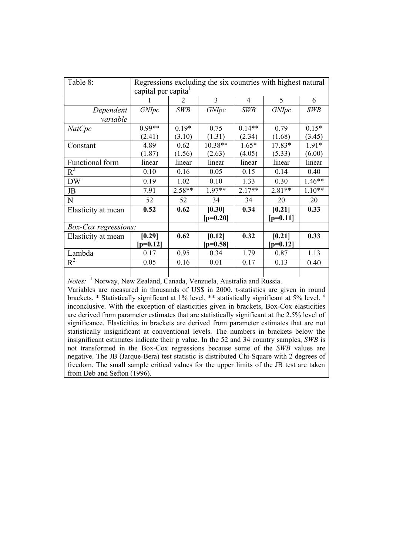| Table 8:                    | capital per capita <sup>1</sup> |               |                      |            | Regressions excluding the six countries with highest natural |            |
|-----------------------------|---------------------------------|---------------|----------------------|------------|--------------------------------------------------------------|------------|
|                             |                                 | $\mathcal{D}$ | 3                    | 4          | 5                                                            | 6          |
| Dependent                   | <i>GNIpc</i>                    | <b>SWB</b>    | GNIpc                | <b>SWB</b> | GNIpc                                                        | <b>SWB</b> |
| variable                    |                                 |               |                      |            |                                                              |            |
| NatCpc                      | $0.99**$                        | $0.19*$       | 0.75                 | $0.14**$   | 0.79                                                         | $0.15*$    |
|                             | (2.41)                          | (3.10)        | (1.31)               | (2.34)     | (1.68)                                                       | (3.45)     |
| Constant                    | 4.89                            | 0.62          | 10.38**              | $1.65*$    | 17.83*                                                       | $1.91*$    |
|                             | (1.87)                          | (1.56)        | (2.63)               | (4.05)     | (5.33)                                                       | (6.00)     |
| Functional form             | linear                          | linear        | linear               | linear     | linear                                                       | linear     |
| $R^2$                       | 0.10                            | 0.16          | 0.05                 | 0.15       | 0.14                                                         | 0.40       |
| <b>DW</b>                   | 0.19                            | 1.02          | 0.10                 | 1.33       | 0.30                                                         | $1.46**$   |
| JB                          | 7.91                            | $2.58**$      | $1.97**$             | $2.17**$   | $2.81**$                                                     | $1.10**$   |
| N                           | 52                              | 52            | 34                   | 34         | 20                                                           | 20         |
| Elasticity at mean          | 0.52                            | 0.62          | [0.30]<br>$[p=0.20]$ | 0.34       | [0.21]<br>$[p=0.11]$                                         | 0.33       |
| <i>Box-Cox regressions:</i> |                                 |               |                      |            |                                                              |            |
| Elasticity at mean          | [0.29]<br>$[p=0.12]$            | 0.62          | [0.12]<br>$[p=0.58]$ | 0.32       | [0.21]<br>$[p=0.12]$                                         | 0.33       |
| Lambda                      | 0.17                            | 0.95          | 0.34                 | 1.79       | 0.87                                                         | 1.13       |
| $R^2$                       | 0.05                            | 0.16          | 0.01                 | 0.17       | 0.13                                                         | 0.40       |
|                             |                                 |               |                      |            |                                                              |            |

*Notes:* 1 Norway, New Zealand, Canada, Venzuela, Australia and Russia. Variables are measured in thousands of US\$ in 2000. t-statistics are given in round brackets. \* Statistically significant at 1% level, \*\* statistically significant at 5% level. # inconclusive. With the exception of elasticities given in brackets, Box-Cox elasticities are derived from parameter estimates that are statistically significant at the 2.5% level of significance. Elasticities in brackets are derived from parameter estimates that are not statistically insignificant at conventional levels. The numbers in brackets below the insignificant estimates indicate their p value. In the 52 and 34 country samples, *SWB* is not transformed in the Box-Cox regressions because some of the *SWB* values are negative. The JB (Jarque-Bera) test statistic is distributed Chi-Square with 2 degrees of freedom. The small sample critical values for the upper limits of the JB test are taken from Deb and Sefton (1996).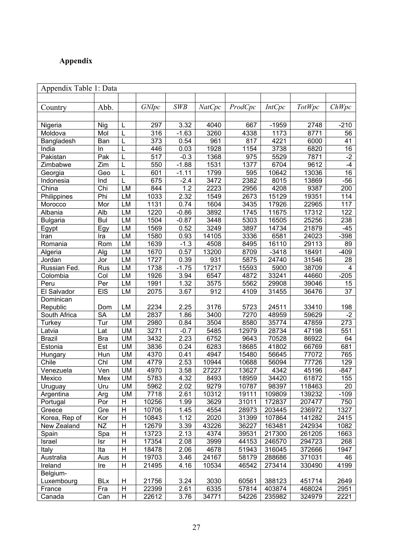## **Appendix**

|                 | Appendix Table 1: Data |                |                   |            |               |                   |               |               |                  |  |  |  |
|-----------------|------------------------|----------------|-------------------|------------|---------------|-------------------|---------------|---------------|------------------|--|--|--|
|                 |                        |                |                   |            |               |                   |               |               |                  |  |  |  |
| Country         | Abb.                   |                | GNIpc             | <b>SWB</b> | <b>NatCpc</b> | ProdCpc           | <i>IntCpc</i> | <b>TotWpc</b> | ChWpc            |  |  |  |
|                 |                        |                |                   |            |               |                   |               |               |                  |  |  |  |
| Nigeria         | <b>Nig</b>             | L              | 297               | 3.32       | 4040          | 667               | $-1959$       | 2748          | $-210$           |  |  |  |
| Moldova         | Mol                    | L              | 316               | $-1.63$    | 3260          | 4338              | 1173          | 8771          | 56               |  |  |  |
| Bangladesh      | Ban                    | L              | $\overline{373}$  | 0.54       | 961           | 817               | 4221          | 6000          | 41               |  |  |  |
| India           | In                     | L              | 446               | 0.03       | 1928          | 1154              | 3738          | 6820          | 16               |  |  |  |
| Pakistan        | Pak                    | L              | 517               | $-0.3$     | 1368          | 975               | 5529          | 7871          | $-2$             |  |  |  |
| Zimbabwe        | Zim                    | L              | 550               | $-1.88$    | 1531          | 1377              | 6704          | 9612          | $-4$             |  |  |  |
| Georgia         | Geo                    | L              | 601               | $-1.11$    | 1799          | 595               | 10642         | 13036         | $\overline{16}$  |  |  |  |
| Indonesia       | Ind                    | L              | 675               | $-2.4$     | 3472          | 2382              | 8015          | 13869         | $-56$            |  |  |  |
| China           | Chi                    | LM             | 844               | 1.2        | 2223          | 2956              | 4208          | 9387          | 200              |  |  |  |
| Philippines     | Phi                    | LM             | 1033              | 2.32       | 1549          | $\overline{2673}$ | 15129         | 19351         | 114              |  |  |  |
| Morocco         | Mor                    | LM             | $\overline{11}31$ | 0.74       | 1604          | 3435              | 17926         | 22965         | 117              |  |  |  |
| Albania         | Alb                    | LM             | 1220              | $-0.86$    | 3892          | 1745              | 11675         | 17312         | 122              |  |  |  |
| <b>Bulgaria</b> | <b>Bul</b>             | LM             | 1504              | $-0.87$    | 3448          | 5303              | 16505         | 25256         | 238              |  |  |  |
| Egypt           | Egy                    | LM             | 1569              | 0.52       | 3249          | 3897              | 14734         | 21879         | $-45$            |  |  |  |
| Iran            | Ira                    | LM             | 1580              | 0.93       | 14105         | 3336              | 6581          | 24023         | $-398$           |  |  |  |
| Romania         | Rom                    | LM             | 1639              | $-1.3$     | 4508          | 8495              | 16110         | 29113         | 89               |  |  |  |
| Algeria         | Alg                    | LM             | 1670              | 0.57       | 13200         | 8709              | $-3418$       | 18491         | $-409$           |  |  |  |
| Jordan          | Jor                    | LM             | 1727              | 0.39       | 931           | 5875              | 24740         | 31546         | 28               |  |  |  |
| Russian Fed.    | Rus                    | LM             | 1738              | $-1.75$    | 17217         | 15593             | 5900          | 38709         | 4                |  |  |  |
| Colombia        | Col                    | LM             | 1926              | 3.94       | 6547          | 4872              | 33241         | 44660         | $-205$           |  |  |  |
| Peru            | Per                    | LM             | 1991              | 1.32       | 3575          | 5562              | 29908         | 39046         | 15               |  |  |  |
| El Salvador     | <b>EIS</b>             | LM             | 2075              | 3.67       | 912           | 4109              | 31455         | 36476         | 37               |  |  |  |
| Dominican       |                        |                |                   |            |               |                   |               |               |                  |  |  |  |
| Republic        | Dom                    | LM             | 2234              | 2.25       | 3176          | 5723              | 24511         | 33410         | 198              |  |  |  |
| South Africa    | $\overline{\text{SA}}$ | LM             | 2837              | 1.86       | 3400          | 7270              | 48959         | 59629         | $-2$             |  |  |  |
| Turkey          | Tur                    | <b>UM</b>      | 2980              | 0.84       | 3504          | 8580              | 35774         | 47859         | $\overline{273}$ |  |  |  |
| Latvia          | Lat                    | <b>UM</b>      | 3271              | $-0.7$     | 5485          | 12979             | 28734         | 47198         | 551              |  |  |  |
| <b>Brazil</b>   | <b>Bra</b>             | <b>UM</b>      | 3432              | 2.23       | 6752          | 9643              | 70528         | 86922         | 64               |  |  |  |
| Estonia         | Est                    | <b>UM</b>      | 3836              | 0.24       | 6283          | 18685             | 41802         | 66769         | 681              |  |  |  |
| Hungary         | Hun                    | <b>UM</b>      | 4370              | 0.41       | 4947          | 15480             | 56645         | 77072         | 765              |  |  |  |
| Chile           | Chl                    | <b>UM</b>      | 4779              | 2.53       | 10944         | 10688             | 56094         | 77726         | 129              |  |  |  |
| Venezuela       | Ven                    | <b>UM</b>      | 4970              | 3.58       | 27227         | 13627             | 4342          | 45196         | $-847$           |  |  |  |
| Mexico          | Mex                    | <b>UM</b>      | 5783              | 4.32       | 8493          | 18959             | 34420         | 61872         | 155              |  |  |  |
| Uruguay         | Uru                    | <b>UM</b>      | 5962              | 2.02       | 9279          | 10787             | 98397         | 118463        | 20               |  |  |  |
| Argentina       | Arg                    | UM             | 7718              | 2.61       | 10312         | 19111             | 109809        | 139232        | $-109$           |  |  |  |
| Portugal        | Por                    | H              | 10256             | 1.99       | 3629          | 31011             | 172837        | 207477        | 750              |  |  |  |
| Greece          | Gre                    | H              | 10706             | 1.45       | 4554          | 28973             | 203445        | 236972        | 1327             |  |  |  |
| Korea, Rep of   | Kor                    | Н              | 10843             | 1.12       | 2020          | 31399             | 107864        | 141282        | 2415             |  |  |  |
| New Zealand     | NZ                     | H              | 12679             | 3.39       | 43226         | 36227             | 163481        | 242934        | 1082             |  |  |  |
| Spain           | Spa                    | Н              | 13723             | 2.13       | 4374          | 39531             | 217300        | 261205        | 1663             |  |  |  |
| Israel          | lsr                    | H              | 17354             | 2.08       | 3999          | 44153             | 246570        | 294723        | 268              |  |  |  |
| Italy           | Ita                    | Н              | 18478             | 2.06       | 4678          | 51943             | 316045        | 372666        | 1947             |  |  |  |
| Australia       | Aus                    | H              | 19703             | 3.46       | 24167         | 58179             | 288686        | 371031        | 46               |  |  |  |
| Ireland         | Ire                    | Н              | 21495             | 4.16       | 10534         | 46542             | 273414        | 330490        | 4199             |  |  |  |
| Belgium-        |                        |                |                   |            |               |                   |               |               |                  |  |  |  |
| Luxembourg      | <b>BLx</b>             | Н              | 21756             | 3.24       | 3030          | 60561             | 388123        | 451714        | 2649             |  |  |  |
| France          | Fra                    | $\overline{H}$ | 22399             | 2.61       | 6335          | 57814             | 403874        | 468024        | 2951             |  |  |  |
| Canada          | Can                    | H              | 22612             | 3.76       | 34771         | 54226             | 235982        | 324979        | 2221             |  |  |  |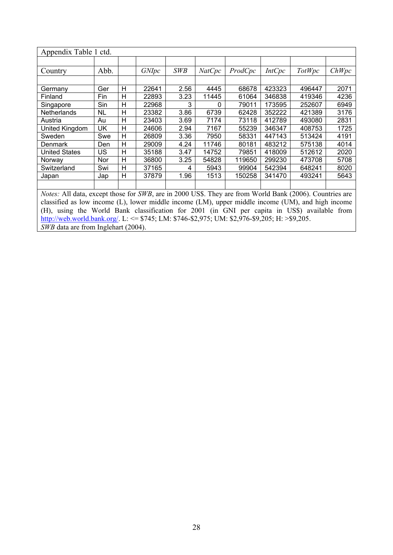| Appendix Table 1 ctd.                            |                  |        |       |                  |        |         |               |                                                                                                                                   |       |
|--------------------------------------------------|------------------|--------|-------|------------------|--------|---------|---------------|-----------------------------------------------------------------------------------------------------------------------------------|-------|
|                                                  |                  |        |       |                  |        |         |               |                                                                                                                                   |       |
| Country                                          | Abb.             |        | GNIpc | <b>SWB</b>       | NatCpc | ProdCpc | <b>IntCpc</b> | <b>TotWpc</b>                                                                                                                     | ChWpc |
|                                                  |                  |        |       |                  |        |         |               |                                                                                                                                   |       |
| Germany                                          | Ger              | н      | 22641 | 2.56             | 4445   | 68678   | 423323        | 496447                                                                                                                            | 2071  |
| Finland                                          | Fin              | Н      | 22893 | 3.23             | 11445  | 61064   | 346838        | 419346                                                                                                                            | 4236  |
| Singapore                                        | Sin              | н      | 22968 |                  | 0      | 79011   | 173595        | 252607                                                                                                                            | 6949  |
| <b>Netherlands</b>                               | NL               | Н      | 23382 | 3.86             | 6739   | 62428   | 352222        | 421389                                                                                                                            | 3176  |
| Austria                                          | Au               | Н      | 23403 | 3.69             | 7174   | 73118   | 412789        | 493080                                                                                                                            | 2831  |
| United Kingdom                                   | UK               | н      | 24606 | 2.94             | 7167   | 55239   | 346347        | 408753                                                                                                                            | 1725  |
| Sweden                                           | Swe              | H      | 26809 | 3.36             | 7950   | 58331   | 447143        | 513424                                                                                                                            | 4191  |
| <b>Denmark</b>                                   | Den.             | Н      | 29009 | 4.24             | 11746  | 80181   | 483212        | 575138                                                                                                                            | 4014  |
| <b>United States</b>                             | US               | н      | 35188 | 3.47             | 14752  | 79851   | 418009        | 512612                                                                                                                            | 2020  |
| Norway                                           | Nor              | н      | 36800 | 3.25             | 54828  | 119650  | 299230        | 473708                                                                                                                            | 5708  |
| Switzerland                                      | Swi              | н      | 37165 | 4                | 5943   | 99904   | 542394        | 648241                                                                                                                            | 8020  |
| Japan                                            | Jap              | H      | 37879 | 1.96             | 1513   | 150258  | 341470        | 493241                                                                                                                            | 5643  |
|                                                  |                  |        |       |                  |        |         |               |                                                                                                                                   |       |
| $\mathbf{r}$<br>$\frac{1}{2}$ 11 1 $\frac{1}{2}$ | $\sim$ $\sim$ 1. | $\sim$ | CITID | <b>COOL</b> TION |        | $\sim$  |               | $\mathbf{W}$ $\mathbf{1}$ $\mathbf{1}$ $\mathbf{R}$ $\mathbf{0}$ $\mathbf{0}$ $\mathbf{0}$ $\mathbf{0}$ $\mathbf{0}$ $\mathbf{0}$ |       |

*Notes:* All data, except those for *SWB*, are in 2000 US\$. They are from World Bank (2006). Countries are classified as low income (L), lower middle income (LM), upper middle income (UM), and high income (UM), and high income (H), using the World Bank classification for 2001 (in GNI per capita in US\$) available from http://web.world.bank.org/. L: <= \$745; LM: \$746-\$2,975; UM: \$2,976-\$9,205; H: >\$9,205. *SWB* data are from Inglehart (2004).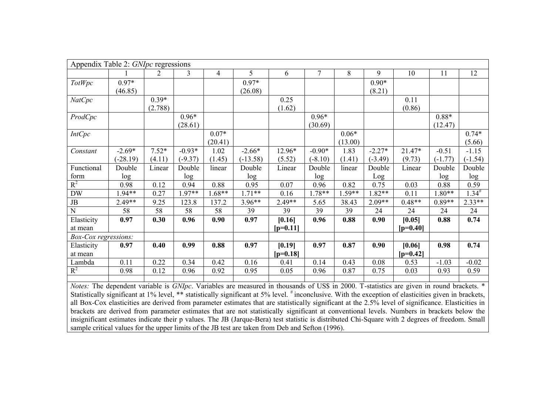| Appendix Table 2: GNIpc regressions                                                                                                                                                                                                                                                                |            |         |                |                |                |            |                 |          |           |            |           |            |
|----------------------------------------------------------------------------------------------------------------------------------------------------------------------------------------------------------------------------------------------------------------------------------------------------|------------|---------|----------------|----------------|----------------|------------|-----------------|----------|-----------|------------|-----------|------------|
|                                                                                                                                                                                                                                                                                                    |            | 2       | $\overline{3}$ | $\overline{4}$ | 5 <sup>5</sup> | 6          | $7\overline{ }$ | 8        | 9         | 10         | 11        | 12         |
| <b>TotWpc</b>                                                                                                                                                                                                                                                                                      | $0.97*$    |         |                |                | $0.97*$        |            |                 |          | $0.90*$   |            |           |            |
|                                                                                                                                                                                                                                                                                                    | (46.85)    |         |                |                | (26.08)        |            |                 |          | (8.21)    |            |           |            |
| <b>NatCpc</b>                                                                                                                                                                                                                                                                                      |            | $0.39*$ |                |                |                | 0.25       |                 |          |           | 0.11       |           |            |
|                                                                                                                                                                                                                                                                                                    |            | (2.788) |                |                |                | (1.62)     |                 |          |           | (0.86)     |           |            |
| ProdCpc                                                                                                                                                                                                                                                                                            |            |         | $0.96*$        |                |                |            | $0.96*$         |          |           |            | $0.88*$   |            |
|                                                                                                                                                                                                                                                                                                    |            |         | (28.61)        |                |                |            | (30.69)         |          |           |            | (12.47)   |            |
| <b>IntCpc</b>                                                                                                                                                                                                                                                                                      |            |         |                | $0.07*$        |                |            |                 | $0.06*$  |           |            |           | $0.74*$    |
|                                                                                                                                                                                                                                                                                                    |            |         |                | (20.41)        |                |            |                 | (13.00)  |           |            |           | (5.66)     |
| Constant                                                                                                                                                                                                                                                                                           | $-2.69*$   | $7.52*$ | $-0.93*$       | 1.02           | $-2.66*$       | 12.96*     | $-0.90*$        | 1.83     | $-2.27*$  | 21.47*     | $-0.51$   | $-1.15$    |
|                                                                                                                                                                                                                                                                                                    | $(-28.19)$ | (4.11)  | $(-9.37)$      | (1.45)         | $(-13.58)$     | (5.52)     | $(-8.10)$       | (1.41)   | $(-3.49)$ | (9.73)     | $(-1.77)$ | $(-1.54)$  |
| Functional                                                                                                                                                                                                                                                                                         | Double     | Linear  | Double         | linear         | Double         | Linear     | Double          | linear   | Double    | Linear     | Double    | Double     |
| form                                                                                                                                                                                                                                                                                               | log        |         | log            |                | log            |            | log             |          | Log       |            | log       | log        |
| $R^2$                                                                                                                                                                                                                                                                                              | 0.98       | 0.12    | 0.94           | 0.88           | 0.95           | 0.07       | 0.96            | 0.82     | 0.75      | 0.03       | 0.88      | 0.59       |
| <b>DW</b>                                                                                                                                                                                                                                                                                          | 1.94**     | 0.27    | $.97**$        | $1.68**$       | $1.71**$       | 0.16       | 1.78**          | $1.59**$ | $1.82**$  | 0.11       | $1.80**$  | $1.34^{#}$ |
| JB                                                                                                                                                                                                                                                                                                 | $2.49**$   | 9.25    | 123.8          | 137.2          | $3.96**$       | 2.49**     | 5.65            | 38.43    | $2.09**$  | $0.48**$   | $0.89**$  | $2.33**$   |
| ${\bf N}$                                                                                                                                                                                                                                                                                          | 58         | 58      | 58             | 58             | 39             | 39         | 39              | 39       | 24        | 24         | 24        | 24         |
| Elasticity                                                                                                                                                                                                                                                                                         | 0.97       | 0.30    | 0.96           | 0.90           | 0.97           | [0.16]     | 0.96            | 0.88     | 0.90      | [0.05]     | 0.88      | 0.74       |
| at mean                                                                                                                                                                                                                                                                                            |            |         |                |                |                | $[p=0.11]$ |                 |          |           | $[p=0.40]$ |           |            |
| Box-Cox regressions:                                                                                                                                                                                                                                                                               |            |         |                |                |                |            |                 |          |           |            |           |            |
| Elasticity                                                                                                                                                                                                                                                                                         | 0.97       | 0.40    | 0.99           | 0.88           | 0.97           | [0.19]     | 0.97            | 0.87     | 0.90      | [0.06]     | 0.98      | 0.74       |
| at mean                                                                                                                                                                                                                                                                                            |            |         |                |                |                | $[p=0.18]$ |                 |          |           | $[p=0.42]$ |           |            |
| Lambda                                                                                                                                                                                                                                                                                             | 0.11       | 0.22    | 0.34           | 0.42           | 0.16           | 0.41       | 0.14            | 0.43     | 0.08      | 0.53       | $-1.03$   | $-0.02$    |
| $R^2$                                                                                                                                                                                                                                                                                              | 0.98       | 0.12    | 0.96           | 0.92           | 0.95           | 0.05       | 0.96            | 0.87     | 0.75      | 0.03       | 0.93      | 0.59       |
|                                                                                                                                                                                                                                                                                                    |            |         |                |                |                |            |                 |          |           |            |           |            |
| Notes: The dependent variable is GNIpc. Variables are measured in thousands of US\$ in 2000. T-statistics are given in round brackets. *<br>Statistically significant at 1% level, ** statistically significant at 5% level. # inconclusive. With the exception of elasticities given in brackets, |            |         |                |                |                |            |                 |          |           |            |           |            |

all Box-Cox elasticities are derived from parameter estimates that are statistically significant at the 2.5% level of significance. Elasticities in brackets are derived from parameter estimates that are not statistically significant at conventional levels. Numbers in brackets below the insignificant estimates indicate their p values. The JB (Jarque-Bera) test statistic is distributed Chi-Square with 2 degrees of freedom. Small sample critical values for the upper limits of the JB test are taken from Deb and Sefton (1996).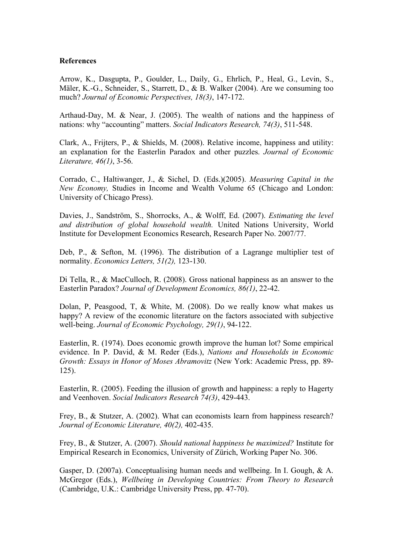#### **References**

Arrow, K., Dasgupta, P., Goulder, L., Daily, G., Ehrlich, P., Heal, G., Levin, S., Mäler, K.-G., Schneider, S., Starrett, D., & B. Walker (2004). Are we consuming too much? *Journal of Economic Perspectives, 18(3)*, 147-172.

Arthaud-Day, M. & Near, J. (2005). The wealth of nations and the happiness of nations: why "accounting" matters. *Social Indicators Research, 74(3)*, 511-548.

Clark, A., Frijters, P., & Shields, M. (2008). Relative income, happiness and utility: an explanation for the Easterlin Paradox and other puzzles. *Journal of Economic Literature, 46(1)*, 3-56.

Corrado, C., Haltiwanger, J., & Sichel, D. (Eds.)(2005). *Measuring Capital in the New Economy,* Studies in Income and Wealth Volume 65 (Chicago and London: University of Chicago Press).

Davies, J., Sandström, S., Shorrocks, A., & Wolff, Ed. (2007). *Estimating the level and distribution of global household wealth.* United Nations University, World Institute for Development Economics Research, Research Paper No. 2007/77.

Deb, P., & Sefton, M. (1996). The distribution of a Lagrange multiplier test of normality. *Economics Letters, 51(2),* 123-130.

Di Tella, R., & MacCulloch, R. (2008). Gross national happiness as an answer to the Easterlin Paradox? *Journal of Development Economics, 86(1)*, 22-42.

Dolan, P, Peasgood, T, & White, M. (2008). Do we really know what makes us happy? A review of the economic literature on the factors associated with subjective well-being. *Journal of Economic Psychology, 29(1)*, 94-122.

Easterlin, R. (1974). Does economic growth improve the human lot? Some empirical evidence. In P. David, & M. Reder (Eds.), *Nations and Households in Economic Growth: Essays in Honor of Moses Abramovitz* (New York: Academic Press, pp. 89- 125).

Easterlin, R. (2005). Feeding the illusion of growth and happiness: a reply to Hagerty and Veenhoven. *Social Indicators Research 74(3)*, 429-443.

Frey, B., & Stutzer, A. (2002). What can economists learn from happiness research? *Journal of Economic Literature, 40(2),* 402-435.

Frey, B., & Stutzer, A. (2007). *Should national happiness be maximized?* Institute for Empirical Research in Economics, University of Zürich, Working Paper No. 306.

Gasper, D. (2007a). Conceptualising human needs and wellbeing. In I. Gough, & A. McGregor (Eds.), *Wellbeing in Developing Countries: From Theory to Research* (Cambridge, U.K.: Cambridge University Press, pp. 47-70).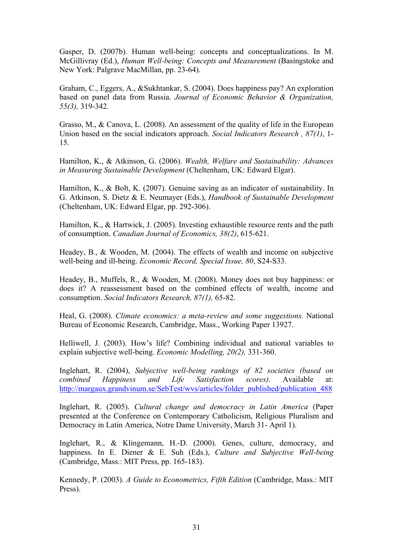Gasper, D. (2007b). Human well-being: concepts and conceptualizations. In M. McGillivray (Ed.), *Human Well-being: Concepts and Measurement* (Basingstoke and New York: Palgrave MacMillan, pp. 23-64).

Graham, C., Eggers, A., &Sukhtankar, S. (2004). Does happiness pay? An exploration based on panel data from Russia. *Journal of Economic Behavior & Organization, 55(3),* 319-342.

Grasso, M., & Canova, L. (2008). An assessment of the quality of life in the European Union based on the social indicators approach. *Social Indicators Research , 87(1)*, 1- 15.

Hamilton, K., & Atkinson, G. (2006). *Wealth, Welfare and Sustainability: Advances in Measuring Sustainable Development* (Cheltenham, UK: Edward Elgar).

Hamilton, K., & Bolt, K. (2007). Genuine saving as an indicator of sustainability. In G. Atkinson, S. Dietz & E. Neumayer (Eds.), *Handbook of Sustainable Development*  (Cheltenham, UK: Edward Elgar, pp. 292-306).

Hamilton, K., & Hartwick, J. (2005). Investing exhaustible resource rents and the path of consumption. *Canadian Journal of Economics, 38(2)*, 615-621.

Headey, B., & Wooden, M. (2004). The effects of wealth and income on subjective well-being and ill-being. *Economic Record, Special Issue, 80*, S24-S33.

Headey, B., Muffels, R., & Wooden, M. (2008). Money does not buy happiness: or does it? A reassessment based on the combined effects of wealth, income and consumption. *Social Indicators Research, 87(1),* 65-82.

Heal, G. (2008). *Climate economics: a meta-review and some suggestions.* National Bureau of Economic Research, Cambridge, Mass., Working Paper 13927.

Helliwell, J. (2003). How's life? Combining individual and national variables to explain subjective well-being. *Economic Modelling, 20(2),* 331-360.

Inglehart, R. (2004), *Subjective well-being rankings of 82 societies (based on combined Happiness and Life Satisfaction scores)*. Available at: http://margaux.grandvinum.se/SebTest/wvs/articles/folder\_published/publication\_488

Inglehart, R. (2005). *Cultural change and democracy in Latin America* (Paper presented at the Conference on Contemporary Catholicism, Religious Pluralism and Democracy in Latin America, Notre Dame University, March 31- April 1).

Inglehart, R., & Klingemann, H.-D. (2000). Genes, culture, democracy, and happiness. In E. Diener & E. Suh (Eds.), *Culture and Subjective Well-being* (Cambridge, Mass.: MIT Press, pp. 165-183).

Kennedy, P. (2003). *A Guide to Econometrics, Fifth Edition* (Cambridge, Mass.: MIT Press).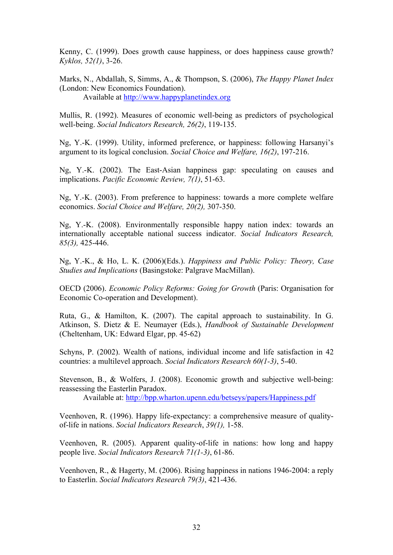Kenny, C. (1999). Does growth cause happiness, or does happiness cause growth? *Kyklos, 52(1)*, 3-26.

Marks, N., Abdallah, S, Simms, A., & Thompson, S. (2006), *The Happy Planet Index* (London: New Economics Foundation).

Available at http://www.happyplanetindex.org

Mullis, R. (1992). Measures of economic well-being as predictors of psychological well-being. *Social Indicators Research, 26(2)*, 119-135.

Ng, Y.-K. (1999). Utility, informed preference, or happiness: following Harsanyi's argument to its logical conclusion. *Social Choice and Welfare, 16(2)*, 197-216.

Ng, Y.-K. (2002). The East-Asian happiness gap: speculating on causes and implications. *Pacific Economic Review, 7(1)*, 51-63.

Ng, Y.-K. (2003). From preference to happiness: towards a more complete welfare economics. *Social Choice and Welfare, 20(2),* 307-350.

Ng, Y.-K. (2008). Environmentally responsible happy nation index: towards an internationally acceptable national success indicator. *Social Indicators Research, 85(3),* 425-446.

Ng, Y.-K., & Ho, L. K. (2006)(Eds.). *Happiness and Public Policy: Theory, Case Studies and Implications* (Basingstoke: Palgrave MacMillan).

OECD (2006). *Economic Policy Reforms: Going for Growth* (Paris: Organisation for Economic Co-operation and Development).

Ruta, G., & Hamilton, K. (2007). The capital approach to sustainability. In G. Atkinson, S. Dietz & E. Neumayer (Eds.), *Handbook of Sustainable Development*  (Cheltenham, UK: Edward Elgar, pp. 45-62)

Schyns, P. (2002). Wealth of nations, individual income and life satisfaction in 42 countries: a multilevel approach. *Social Indicators Research 60(1-3)*, 5-40.

Stevenson, B., & Wolfers, J. (2008). Economic growth and subjective well-being: reassessing the Easterlin Paradox.

Available at: http://bpp.wharton.upenn.edu/betseys/papers/Happiness.pdf

Veenhoven, R. (1996). Happy life-expectancy: a comprehensive measure of qualityof-life in nations. *Social Indicators Research*, *39(1),* 1-58.

Veenhoven, R. (2005). Apparent quality-of-life in nations: how long and happy people live. *Social Indicators Research 71(1-3)*, 61-86.

Veenhoven, R., & Hagerty, M. (2006). Rising happiness in nations 1946-2004: a reply to Easterlin. *Social Indicators Research 79(3)*, 421-436.